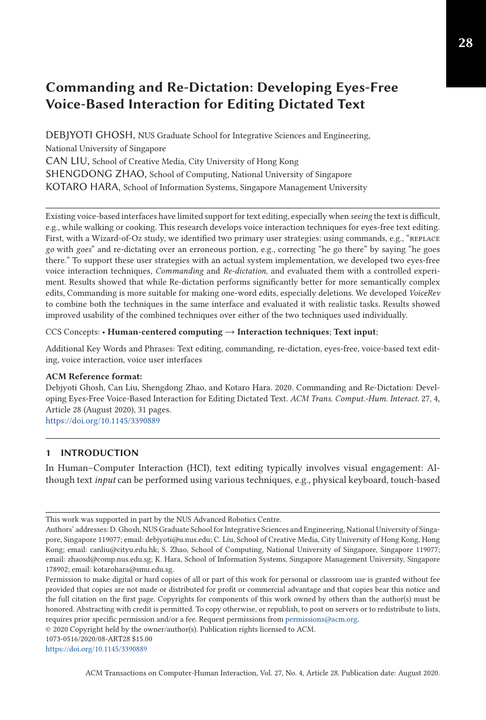# **Commanding and Re-Dictation: Developing Eyes-Free Voice-Based Interaction for Editing Dictated Text**

DEBJYOTI GHOSH, NUS Graduate School for Integrative Sciences and Engineering, National University of Singapore CAN LIU, School of Creative Media, City University of Hong Kong SHENGDONG ZHAO, School of Computing, National University of Singapore KOTARO HARA, School of Information Systems, Singapore Management University

Existing voice-based interfaces have limited support for text editing, especially when *seeing* the text is difficult, e.g., while walking or cooking. This research develops voice interaction techniques for eyes-free text editing. First, with a Wizard-of-Oz study, we identified two primary user strategies: using commands, e.g., "REPLACE *go* with *goes*" and re-dictating over an erroneous portion, e.g., correcting "he go there" by saying "he goes there." To support these user strategies with an actual system implementation, we developed two eyes-free voice interaction techniques, *Commanding* and *Re-dictation*, and evaluated them with a controlled experiment. Results showed that while Re-dictation performs significantly better for more semantically complex edits, Commanding is more suitable for making one-word edits, especially deletions. We developed *VoiceRev* to combine both the techniques in the same interface and evaluated it with realistic tasks. Results showed improved usability of the combined techniques over either of the two techniques used individually.

### CCS Concepts: • **Human-centered computing** → **Interaction techniques**; **Text input**;

Additional Key Words and Phrases: Text editing, commanding, re-dictation, eyes-free, voice-based text editing, voice interaction, voice user interfaces

#### **ACM Reference format:**

Debjyoti Ghosh, Can Liu, Shengdong Zhao, and Kotaro Hara. 2020. Commanding and Re-Dictation: Developing Eyes-Free Voice-Based Interaction for Editing Dictated Text. *ACM Trans. Comput.-Hum. Interact.* 27, 4, Article 28 (August 2020), 31 pages. <https://doi.org/10.1145/3390889>

### **1 INTRODUCTION**

In Human–Computer Interaction (HCI), text editing typically involves visual engagement: Although text *input* can be performed using various techniques, e.g., physical keyboard, touch-based

© 2020 Copyright held by the owner/author(s). Publication rights licensed to ACM.

<https://doi.org/10.1145/3390889>

ACM Transactions on Computer-Human Interaction, Vol. 27, No. 4, Article 28. Publication date: August 2020.

This work was supported in part by the NUS Advanced Robotics Centre.

Authors' addresses: D. Ghosh, NUS Graduate School for Integrative Sciences and Engineering, National University of Singapore, Singapore 119077; email: debjyoti@u.nus.edu; C. Liu, School of Creative Media, City University of Hong Kong, Hong Kong; email: canliu@cityu.edu.hk; S. Zhao, School of Computing, National University of Singapore, Singapore 119077; email: zhaosd@comp.nus.edu.sg; K. Hara, School of Information Systems, Singapore Management University, Singapore 178902; email: kotarohara@smu.edu.sg.

Permission to make digital or hard copies of all or part of this work for personal or classroom use is granted without fee provided that copies are not made or distributed for profit or commercial advantage and that copies bear this notice and the full citation on the first page. Copyrights for components of this work owned by others than the author(s) must be honored. Abstracting with credit is permitted. To copy otherwise, or republish, to post on servers or to redistribute to lists, requires prior specific permission and/or a fee. Request permissions from [permissions@acm.org.](mailto:permissions@acm.org)

<sup>1073-0516/2020/08-</sup>ART28 \$15.00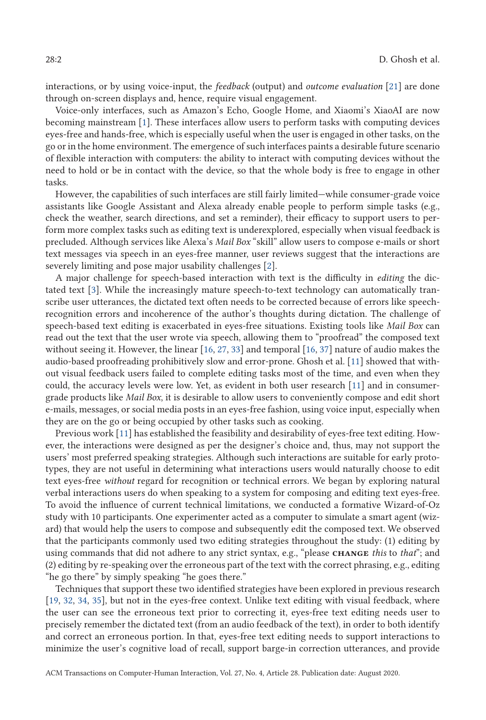interactions, or by using voice-input, the *feedback* (output) and *outcome evaluation* [\[21\]](#page-29-0) are done through on-screen displays and, hence, require visual engagement.

Voice-only interfaces, such as Amazon's Echo, Google Home, and Xiaomi's XiaoAI are now becoming mainstream [\[1\]](#page-28-0). These interfaces allow users to perform tasks with computing devices eyes-free and hands-free, which is especially useful when the user is engaged in other tasks, on the go or in the home environment. The emergence of such interfaces paints a desirable future scenario of flexible interaction with computers: the ability to interact with computing devices without the need to hold or be in contact with the device, so that the whole body is free to engage in other tasks.

However, the capabilities of such interfaces are still fairly limited—while consumer-grade voice assistants like Google Assistant and Alexa already enable people to perform simple tasks (e.g., check the weather, search directions, and set a reminder), their efficacy to support users to perform more complex tasks such as editing text is underexplored, especially when visual feedback is precluded. Although services like Alexa's *Mail Box* "skill" allow users to compose e-mails or short text messages via speech in an eyes-free manner, user reviews suggest that the interactions are severely limiting and pose major usability challenges [\[2\]](#page-28-0).

A major challenge for speech-based interaction with text is the difficulty in *editing* the dictated text [\[3\]](#page-28-0). While the increasingly mature speech-to-text technology can automatically transcribe user utterances, the dictated text often needs to be corrected because of errors like speechrecognition errors and incoherence of the author's thoughts during dictation. The challenge of speech-based text editing is exacerbated in eyes-free situations. Existing tools like *Mail Box* can read out the text that the user wrote via speech, allowing them to "proofread" the composed text without seeing it. However, the linear [\[16,](#page-29-0) [27,](#page-29-0) [33\]](#page-29-0) and temporal [\[16,](#page-29-0) [37\]](#page-30-0) nature of audio makes the audio-based proofreading prohibitively slow and error-prone. Ghosh et al. [\[11\]](#page-28-0) showed that without visual feedback users failed to complete editing tasks most of the time, and even when they could, the accuracy levels were low. Yet, as evident in both user research [\[11\]](#page-28-0) and in consumergrade products like *Mail Box*, it is desirable to allow users to conveniently compose and edit short e-mails, messages, or social media posts in an eyes-free fashion, using voice input, especially when they are on the go or being occupied by other tasks such as cooking.

Previous work [\[11\]](#page-28-0) has established the feasibility and desirability of eyes-free text editing. However, the interactions were designed as per the designer's choice and, thus, may not support the users' most preferred speaking strategies. Although such interactions are suitable for early prototypes, they are not useful in determining what interactions users would naturally choose to edit text eyes-free *without* regard for recognition or technical errors. We began by exploring natural verbal interactions users do when speaking to a system for composing and editing text eyes-free. To avoid the influence of current technical limitations, we conducted a formative Wizard-of-Oz study with 10 participants. One experimenter acted as a computer to simulate a smart agent (wizard) that would help the users to compose and subsequently edit the composed text. We observed that the participants commonly used two editing strategies throughout the study: (1) editing by using commands that did not adhere to any strict syntax, e.g., "please **change** *this* to *that*"; and (2) editing by re-speaking over the erroneous part of the text with the correct phrasing, e.g., editing "he go there" by simply speaking "he goes there."

Techniques that support these two identified strategies have been explored in previous research [\[19,](#page-29-0) [32,](#page-29-0) [34,](#page-30-0) [35\]](#page-30-0), but not in the eyes-free context. Unlike text editing with visual feedback, where the user can see the erroneous text prior to correcting it, eyes-free text editing needs user to precisely remember the dictated text (from an audio feedback of the text), in order to both identify and correct an erroneous portion. In that, eyes-free text editing needs to support interactions to minimize the user's cognitive load of recall, support barge-in correction utterances, and provide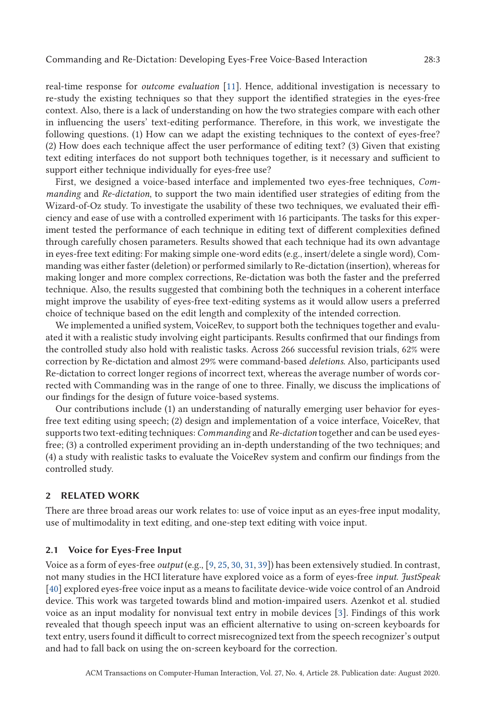real-time response for *outcome evaluation* [\[11\]](#page-28-0). Hence, additional investigation is necessary to re-study the existing techniques so that they support the identified strategies in the eyes-free context. Also, there is a lack of understanding on how the two strategies compare with each other in influencing the users' text-editing performance. Therefore, in this work, we investigate the following questions. (1) How can we adapt the existing techniques to the context of eyes-free? (2) How does each technique affect the user performance of editing text? (3) Given that existing text editing interfaces do not support both techniques together, is it necessary and sufficient to support either technique individually for eyes-free use?

First, we designed a voice-based interface and implemented two eyes-free techniques, *Commanding* and *Re-dictation*, to support the two main identified user strategies of editing from the Wizard-of-Oz study. To investigate the usability of these two techniques, we evaluated their efficiency and ease of use with a controlled experiment with 16 participants. The tasks for this experiment tested the performance of each technique in editing text of different complexities defined through carefully chosen parameters. Results showed that each technique had its own advantage in eyes-free text editing: For making simple one-word edits (e.g., insert/delete a single word), Commanding was either faster (deletion) or performed similarly to Re-dictation (insertion), whereas for making longer and more complex corrections, Re-dictation was both the faster and the preferred technique. Also, the results suggested that combining both the techniques in a coherent interface might improve the usability of eyes-free text-editing systems as it would allow users a preferred choice of technique based on the edit length and complexity of the intended correction.

We implemented a unified system, VoiceRev, to support both the techniques together and evaluated it with a realistic study involving eight participants. Results confirmed that our findings from the controlled study also hold with realistic tasks. Across 266 successful revision trials, 62% were correction by Re-dictation and almost 29% were command-based *deletions*. Also, participants used Re-dictation to correct longer regions of incorrect text, whereas the average number of words corrected with Commanding was in the range of one to three. Finally, we discuss the implications of our findings for the design of future voice-based systems.

Our contributions include (1) an understanding of naturally emerging user behavior for eyesfree text editing using speech; (2) design and implementation of a voice interface, VoiceRev, that supports two text-editing techniques: *Commanding* and *Re-dictation* together and can be used eyesfree; (3) a controlled experiment providing an in-depth understanding of the two techniques; and (4) a study with realistic tasks to evaluate the VoiceRev system and confirm our findings from the controlled study.

# **2 RELATED WORK**

There are three broad areas our work relates to: use of voice input as an eyes-free input modality, use of multimodality in text editing, and one-step text editing with voice input.

#### **2.1 Voice for Eyes-Free Input**

Voice as a form of eyes-free *output* (e.g., [\[9,](#page-28-0) [25,](#page-29-0) [30,](#page-29-0) [31,](#page-29-0) [39\]](#page-30-0)) has been extensively studied. In contrast, not many studies in the HCI literature have explored voice as a form of eyes-free *input*. *JustSpeak* [\[40\]](#page-30-0) explored eyes-free voice input as a means to facilitate device-wide voice control of an Android device. This work was targeted towards blind and motion-impaired users. Azenkot et al. studied voice as an input modality for nonvisual text entry in mobile devices [\[3\]](#page-28-0). Findings of this work revealed that though speech input was an efficient alternative to using on-screen keyboards for text entry, users found it difficult to correct misrecognized text from the speech recognizer's output and had to fall back on using the on-screen keyboard for the correction.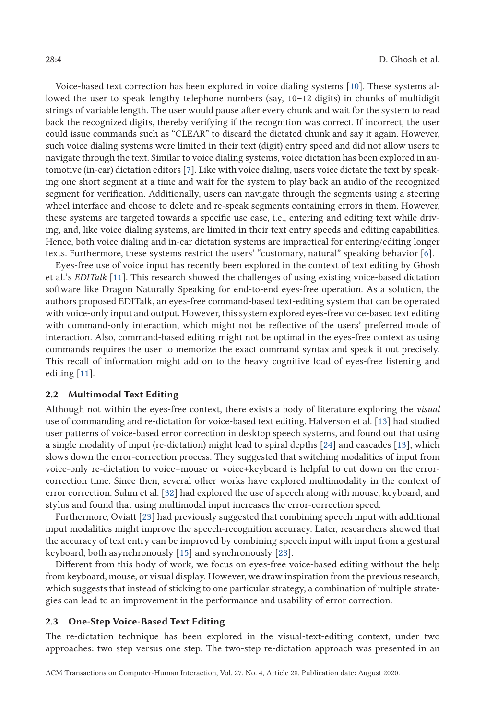Voice-based text correction has been explored in voice dialing systems [\[10\]](#page-28-0). These systems allowed the user to speak lengthy telephone numbers (say, 10–12 digits) in chunks of multidigit strings of variable length. The user would pause after every chunk and wait for the system to read back the recognized digits, thereby verifying if the recognition was correct. If incorrect, the user could issue commands such as "CLEAR" to discard the dictated chunk and say it again. However, such voice dialing systems were limited in their text (digit) entry speed and did not allow users to navigate through the text. Similar to voice dialing systems, voice dictation has been explored in automotive (in-car) dictation editors [\[7\]](#page-28-0). Like with voice dialing, users voice dictate the text by speaking one short segment at a time and wait for the system to play back an audio of the recognized segment for verification. Additionally, users can navigate through the segments using a steering wheel interface and choose to delete and re-speak segments containing errors in them. However, these systems are targeted towards a specific use case, i.e., entering and editing text while driving, and, like voice dialing systems, are limited in their text entry speeds and editing capabilities. Hence, both voice dialing and in-car dictation systems are impractical for entering/editing longer texts. Furthermore, these systems restrict the users' "customary, natural" speaking behavior [\[6\]](#page-28-0).

Eyes-free use of voice input has recently been explored in the context of text editing by Ghosh et al.'s *EDITalk* [\[11\]](#page-28-0). This research showed the challenges of using existing voice-based dictation software like Dragon Naturally Speaking for end-to-end eyes-free operation. As a solution, the authors proposed EDITalk, an eyes-free command-based text-editing system that can be operated with voice-only input and output. However, this system explored eyes-free voice-based text editing with command-only interaction, which might not be reflective of the users' preferred mode of interaction. Also, command-based editing might not be optimal in the eyes-free context as using commands requires the user to memorize the exact command syntax and speak it out precisely. This recall of information might add on to the heavy cognitive load of eyes-free listening and editing [\[11\]](#page-28-0).

# **2.2 Multimodal Text Editing**

Although not within the eyes-free context, there exists a body of literature exploring the *visual* use of commanding and re-dictation for voice-based text editing. Halverson et al. [\[13\]](#page-29-0) had studied user patterns of voice-based error correction in desktop speech systems, and found out that using a single modality of input (re-dictation) might lead to spiral depths [\[24\]](#page-29-0) and cascades [\[13\]](#page-29-0), which slows down the error-correction process. They suggested that switching modalities of input from voice-only re-dictation to voice+mouse or voice+keyboard is helpful to cut down on the errorcorrection time. Since then, several other works have explored multimodality in the context of error correction. Suhm et al. [\[32\]](#page-29-0) had explored the use of speech along with mouse, keyboard, and stylus and found that using multimodal input increases the error-correction speed.

Furthermore, Oviatt [\[23\]](#page-29-0) had previously suggested that combining speech input with additional input modalities might improve the speech-recognition accuracy. Later, researchers showed that the accuracy of text entry can be improved by combining speech input with input from a gestural keyboard, both asynchronously [\[15\]](#page-29-0) and synchronously [\[28\]](#page-29-0).

Different from this body of work, we focus on eyes-free voice-based editing without the help from keyboard, mouse, or visual display. However, we draw inspiration from the previous research, which suggests that instead of sticking to one particular strategy, a combination of multiple strategies can lead to an improvement in the performance and usability of error correction.

### **2.3 One-Step Voice-Based Text Editing**

The re-dictation technique has been explored in the visual-text-editing context, under two approaches: two step versus one step. The two-step re-dictation approach was presented in an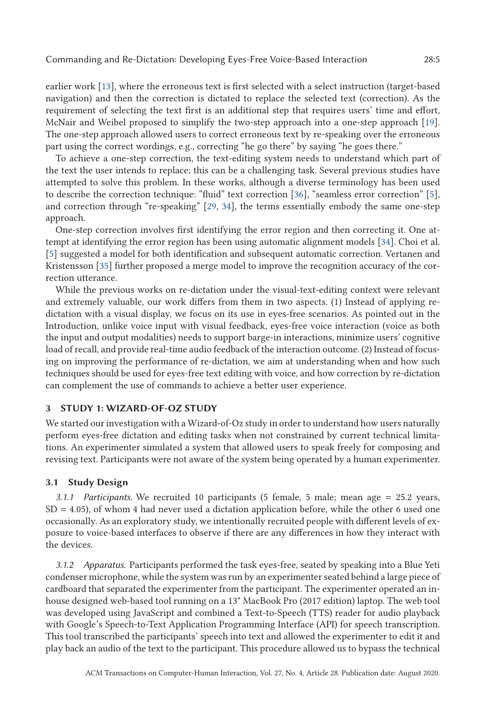earlier work [\[13\]](#page-29-0), where the erroneous text is first selected with a select instruction (target-based navigation) and then the correction is dictated to replace the selected text (correction). As the requirement of selecting the text first is an additional step that requires users' time and effort, McNair and Weibel proposed to simplify the two-step approach into a one-step approach [\[19\]](#page-29-0). The one-step approach allowed users to correct erroneous text by re-speaking over the erroneous part using the correct wordings, e.g., correcting "he go there" by saying "he goes there."

To achieve a one-step correction, the text-editing system needs to understand which part of the text the user intends to replace; this can be a challenging task. Several previous studies have attempted to solve this problem. In these works, although a diverse terminology has been used to describe the correction technique: "fluid" text correction [\[36\]](#page-30-0), "seamless error correction" [\[5\]](#page-28-0), and correction through "re-speaking" [\[29,](#page-29-0) [34\]](#page-30-0), the terms essentially embody the same one-step approach.

One-step correction involves first identifying the error region and then correcting it. One attempt at identifying the error region has been using automatic alignment models [\[34\]](#page-30-0). Choi et al. [\[5\]](#page-28-0) suggested a model for both identification and subsequent automatic correction. Vertanen and Kristensson [\[35\]](#page-30-0) further proposed a merge model to improve the recognition accuracy of the correction utterance.

While the previous works on re-dictation under the visual-text-editing context were relevant and extremely valuable, our work differs from them in two aspects. (1) Instead of applying redictation with a visual display, we focus on its use in eyes-free scenarios. As pointed out in the Introduction, unlike voice input with visual feedback, eyes-free voice interaction (voice as both the input and output modalities) needs to support barge-in interactions, minimize users' cognitive load of recall, and provide real-time audio feedback of the interaction outcome. (2) Instead of focusing on improving the performance of re-dictation, we aim at understanding when and how such techniques should be used for eyes-free text editing with voice, and how correction by re-dictation can complement the use of commands to achieve a better user experience.

#### **3 STUDY 1: WIZARD-OF-OZ STUDY**

We started our investigation with a Wizard-of-Oz study in order to understand how users naturally perform eyes-free dictation and editing tasks when not constrained by current technical limitations. An experimenter simulated a system that allowed users to speak freely for composing and revising text. Participants were not aware of the system being operated by a human experimenter.

#### **3.1 Study Design**

*3.1.1 Participants.* We recruited 10 participants (5 female, 5 male; mean age = 25.2 years,  $SD = 4.05$ ), of whom 4 had never used a dictation application before, while the other 6 used one occasionally. As an exploratory study, we intentionally recruited people with different levels of exposure to voice-based interfaces to observe if there are any differences in how they interact with the devices.

*3.1.2 Apparatus.* Participants performed the task eyes-free, seated by speaking into a Blue Yeti condenser microphone, while the system was run by an experimenter seated behind a large piece of cardboard that separated the experimenter from the participant. The experimenter operated an inhouse designed web-based tool running on a 13" MacBook Pro (2017 edition) laptop. The web tool was developed using JavaScript and combined a Text-to-Speech (TTS) reader for audio playback with Google's Speech-to-Text Application Programming Interface (API) for speech transcription. This tool transcribed the participants' speech into text and allowed the experimenter to edit it and play back an audio of the text to the participant. This procedure allowed us to bypass the technical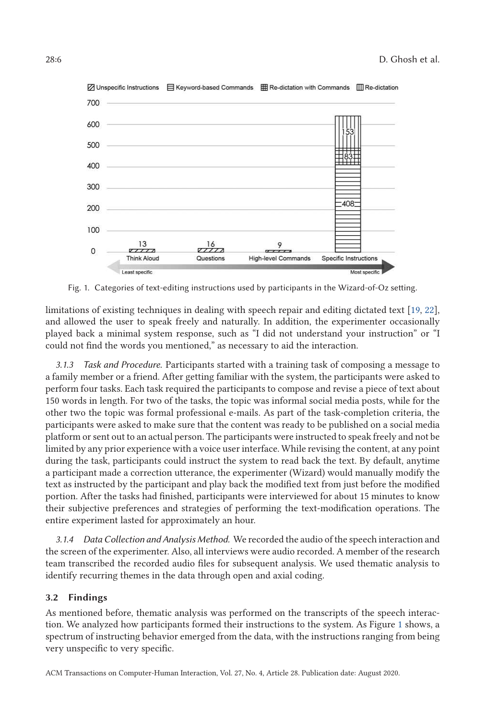<span id="page-5-0"></span>

Fig. 1. Categories of text-editing instructions used by participants in the Wizard-of-Oz setting.

limitations of existing techniques in dealing with speech repair and editing dictated text [\[19,](#page-29-0) [22\]](#page-29-0), and allowed the user to speak freely and naturally. In addition, the experimenter occasionally played back a minimal system response, such as "I did not understand your instruction" or "I could not find the words you mentioned," as necessary to aid the interaction.

*3.1.3 Task and Procedure.* Participants started with a training task of composing a message to a family member or a friend. After getting familiar with the system, the participants were asked to perform four tasks. Each task required the participants to compose and revise a piece of text about 150 words in length. For two of the tasks, the topic was informal social media posts, while for the other two the topic was formal professional e-mails. As part of the task-completion criteria, the participants were asked to make sure that the content was ready to be published on a social media platform or sent out to an actual person. The participants were instructed to speak freely and not be limited by any prior experience with a voice user interface. While revising the content, at any point during the task, participants could instruct the system to read back the text. By default, anytime a participant made a correction utterance, the experimenter (Wizard) would manually modify the text as instructed by the participant and play back the modified text from just before the modified portion. After the tasks had finished, participants were interviewed for about 15 minutes to know their subjective preferences and strategies of performing the text-modification operations. The entire experiment lasted for approximately an hour.

*3.1.4 Data Collection and Analysis Method.* We recorded the audio of the speech interaction and the screen of the experimenter. Also, all interviews were audio recorded. A member of the research team transcribed the recorded audio files for subsequent analysis. We used thematic analysis to identify recurring themes in the data through open and axial coding.

#### **3.2 Findings**

As mentioned before, thematic analysis was performed on the transcripts of the speech interaction. We analyzed how participants formed their instructions to the system. As Figure 1 shows, a spectrum of instructing behavior emerged from the data, with the instructions ranging from being very unspecific to very specific.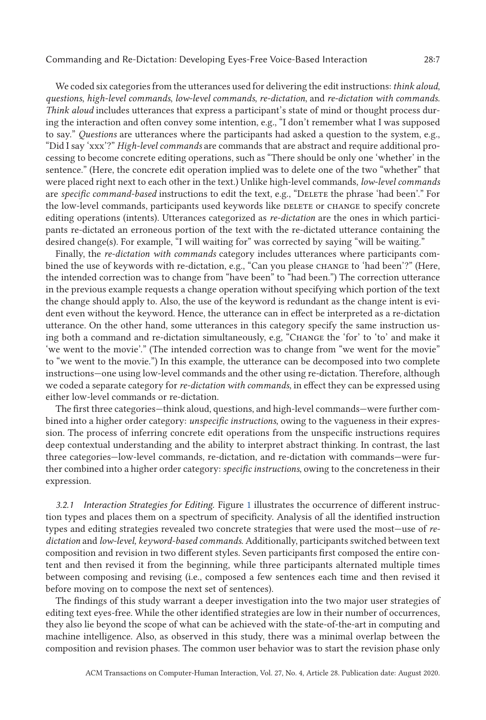We coded six categories from the utterances used for delivering the edit instructions: *think aloud*, *questions*, *high-level commands*, *low-level commands*, *re-dictation*, and *re-dictation with commands*. *Think aloud* includes utterances that express a participant's state of mind or thought process during the interaction and often convey some intention, e.g., "I don't remember what I was supposed to say." *Questions* are utterances where the participants had asked a question to the system, e.g., "Did I say 'xxx'?" *High-level commands* are commands that are abstract and require additional processing to become concrete editing operations, such as "There should be only one 'whether' in the sentence." (Here, the concrete edit operation implied was to delete one of the two "whether" that were placed right next to each other in the text.) Unlike high-level commands, *low-level commands* are *specific command-based* instructions to edit the text, e.g., "DELETE the phrase 'had been'." For the low-level commands, participants used keywords like DELETE or CHANGE to specify concrete editing operations (intents). Utterances categorized as *re-dictation* are the ones in which participants re-dictated an erroneous portion of the text with the re-dictated utterance containing the desired change(s). For example, "I will waiting for" was corrected by saying "will be waiting."

Finally, the *re-dictation with commands* category includes utterances where participants combined the use of keywords with re-dictation, e.g., "Can you please CHANGE to 'had been'?" (Here, the intended correction was to change from "have been" to "had been.") The correction utterance in the previous example requests a change operation without specifying which portion of the text the change should apply to. Also, the use of the keyword is redundant as the change intent is evident even without the keyword. Hence, the utterance can in effect be interpreted as a re-dictation utterance. On the other hand, some utterances in this category specify the same instruction using both a command and re-dictation simultaneously, e.g, "Change the 'for' to 'to' and make it 'we went to the movie'." (The intended correction was to change from "we went for the movie" to "we went to the movie.") In this example, the utterance can be decomposed into two complete instructions—one using low-level commands and the other using re-dictation. Therefore, although we coded a separate category for *re-dictation with commands*, in effect they can be expressed using either low-level commands or re-dictation.

The first three categories—think aloud, questions, and high-level commands—were further combined into a higher order category: *unspecific instructions*, owing to the vagueness in their expression. The process of inferring concrete edit operations from the unspecific instructions requires deep contextual understanding and the ability to interpret abstract thinking. In contrast, the last three categories—low-level commands, re-dictation, and re-dictation with commands—were further combined into a higher order category: *specific instructions*, owing to the concreteness in their expression.

*3.2.1 Interaction Strategies for Editing.* Figure [1](#page-5-0) illustrates the occurrence of different instruction types and places them on a spectrum of specificity. Analysis of all the identified instruction types and editing strategies revealed two concrete strategies that were used the most—use of *redictation* and *low-level, keyword-based commands*. Additionally, participants switched between text composition and revision in two different styles. Seven participants first composed the entire content and then revised it from the beginning, while three participants alternated multiple times between composing and revising (i.e., composed a few sentences each time and then revised it before moving on to compose the next set of sentences).

The findings of this study warrant a deeper investigation into the two major user strategies of editing text eyes-free. While the other identified strategies are low in their number of occurrences, they also lie beyond the scope of what can be achieved with the state-of-the-art in computing and machine intelligence. Also, as observed in this study, there was a minimal overlap between the composition and revision phases. The common user behavior was to start the revision phase only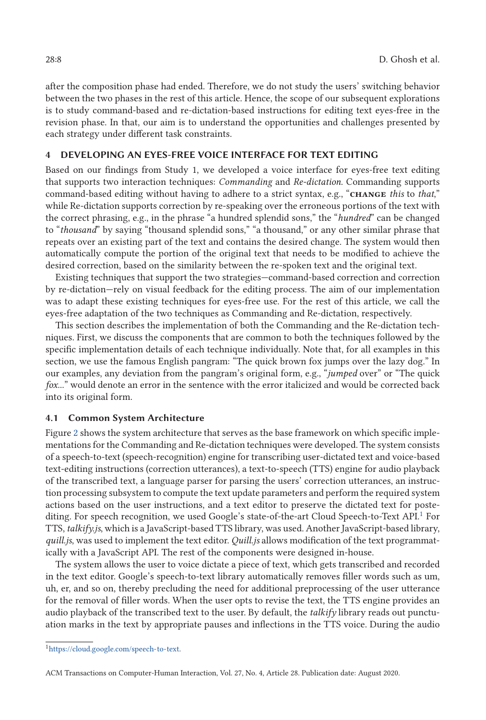after the composition phase had ended. Therefore, we do not study the users' switching behavior between the two phases in the rest of this article. Hence, the scope of our subsequent explorations is to study command-based and re-dictation-based instructions for editing text eyes-free in the revision phase. In that, our aim is to understand the opportunities and challenges presented by each strategy under different task constraints.

# **4 DEVELOPING AN EYES-FREE VOICE INTERFACE FOR TEXT EDITING**

Based on our findings from Study 1, we developed a voice interface for eyes-free text editing that supports two interaction techniques: *Commanding* and *Re-dictation*. Commanding supports command-based editing without having to adhere to a strict syntax, e.g., "**change** *this* to *that*," while Re-dictation supports correction by re-speaking over the erroneous portions of the text with the correct phrasing, e.g., in the phrase "a hundred splendid sons," the "*hundred*" can be changed to "*thousand*" by saying "thousand splendid sons," "a thousand," or any other similar phrase that repeats over an existing part of the text and contains the desired change. The system would then automatically compute the portion of the original text that needs to be modified to achieve the desired correction, based on the similarity between the re-spoken text and the original text.

Existing techniques that support the two strategies—command-based correction and correction by re-dictation—rely on visual feedback for the editing process. The aim of our implementation was to adapt these existing techniques for eyes-free use. For the rest of this article, we call the eyes-free adaptation of the two techniques as Commanding and Re-dictation, respectively.

This section describes the implementation of both the Commanding and the Re-dictation techniques. First, we discuss the components that are common to both the techniques followed by the specific implementation details of each technique individually. Note that, for all examples in this section, we use the famous English pangram: "The quick brown fox jumps over the lazy dog." In our examples, any deviation from the pangram's original form, e.g., "*jumped* over" or "The quick *fox*..." would denote an error in the sentence with the error italicized and would be corrected back into its original form.

# **4.1 Common System Architecture**

Figure [2](#page-8-0) shows the system architecture that serves as the base framework on which specific implementations for the Commanding and Re-dictation techniques were developed. The system consists of a speech-to-text (speech-recognition) engine for transcribing user-dictated text and voice-based text-editing instructions (correction utterances), a text-to-speech (TTS) engine for audio playback of the transcribed text, a language parser for parsing the users' correction utterances, an instruction processing subsystem to compute the text update parameters and perform the required system actions based on the user instructions, and a text editor to preserve the dictated text for postediting. For speech recognition, we used Google's state-of-the-art Cloud Speech-to-Text API.<sup>1</sup> For TTS, *talkify.js*, which is a JavaScript-based TTS library, was used. Another JavaScript-based library, *quill.js*, was used to implement the text editor. *Quill.js* allows modification of the text programmatically with a JavaScript API. The rest of the components were designed in-house.

The system allows the user to voice dictate a piece of text, which gets transcribed and recorded in the text editor. Google's speech-to-text library automatically removes filler words such as um, uh, er, and so on, thereby precluding the need for additional preprocessing of the user utterance for the removal of filler words. When the user opts to revise the text, the TTS engine provides an audio playback of the transcribed text to the user. By default, the *talkify* library reads out punctuation marks in the text by appropriate pauses and inflections in the TTS voice. During the audio

[<sup>1</sup>https://cloud.google.com/speech-to-text.](https://cloud.google.com/speech-to-text)

ACM Transactions on Computer-Human Interaction, Vol. 27, No. 4, Article 28. Publication date: August 2020.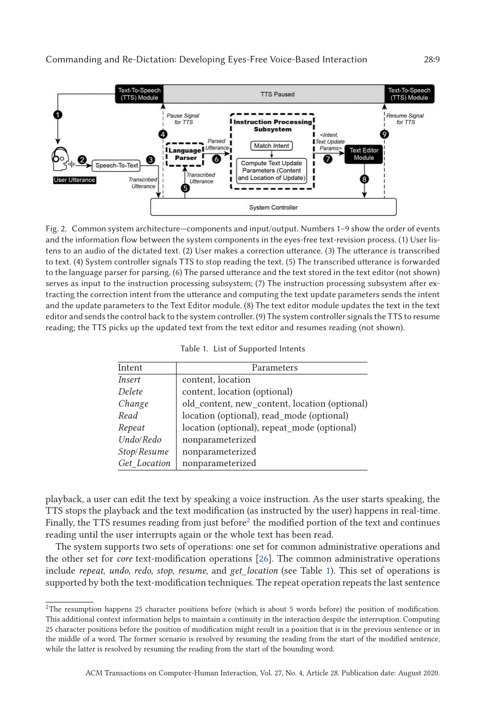<span id="page-8-0"></span>

Fig. 2. Common system architecture—components and input/output. Numbers 1–9 show the order of events and the information flow between the system components in the eyes-free text-revision process. (1) User listens to an audio of the dictated text. (2) User makes a correction utterance. (3) The utterance is transcribed to text. (4) System controller signals TTS to stop reading the text. (5) The transcribed utterance is forwarded to the language parser for parsing. (6) The parsed utterance and the text stored in the text editor (not shown) serves as input to the instruction processing subsystem; (7) The instruction processing subsystem after extracting the correction intent from the utterance and computing the text update parameters sends the intent and the update parameters to the Text Editor module. (8) The text editor module updates the text in the text editor and sends the control back to the system controller. (9) The system controller signals the TTS to resume reading; the TTS picks up the updated text from the text editor and resumes reading (not shown).

|  |  | Table 1. List of Supported Intents |  |
|--|--|------------------------------------|--|
|--|--|------------------------------------|--|

| Intent        | Parameters                                    |  |
|---------------|-----------------------------------------------|--|
| <i>Insert</i> | content, location                             |  |
| Delete        | content, location (optional)                  |  |
| Change        | old_content, new_content, location (optional) |  |
| Read          | location (optional), read_mode (optional)     |  |
| Repeat        | location (optional), repeat_mode (optional)   |  |
| Undo/Redo     | nonparameterized                              |  |
| Stop/Resume   | nonparameterized                              |  |
| Get Location  | nonparameterized                              |  |

playback, a user can edit the text by speaking a voice instruction. As the user starts speaking, the TTS stops the playback and the text modification (as instructed by the user) happens in real-time. Finally, the TTS resumes reading from just before<sup>2</sup> the modified portion of the text and continues reading until the user interrupts again or the whole text has been read.

The system supports two sets of operations: one set for common administrative operations and the other set for *core* text-modification operations [\[26\]](#page-29-0). The common administrative operations include *repeat*, *undo*, *redo*, *stop*, *resume*, and *get\_location* (see Table 1). This set of operations is supported by both the text-modification techniques. The repeat operation repeats the last sentence

 $2$ The resumption happens 25 character positions before (which is about 5 words before) the position of modification. This additional context information helps to maintain a continuity in the interaction despite the interruption. Computing 25 character positions before the position of modification might result in a position that is in the previous sentence or in the middle of a word. The former scenario is resolved by resuming the reading from the start of the modified sentence, while the latter is resolved by resuming the reading from the start of the bounding word.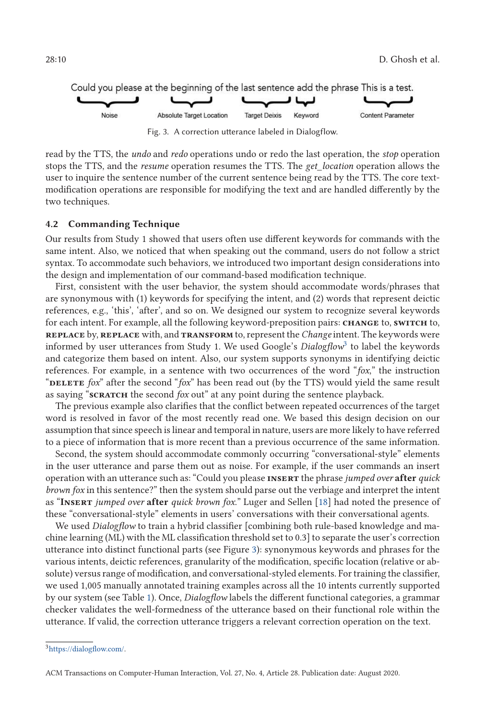<span id="page-9-0"></span>

Fig. 3. A correction utterance labeled in Dialogflow.

read by the TTS, the *undo* and *redo* operations undo or redo the last operation, the *stop* operation stops the TTS, and the *resume* operation resumes the TTS. The *get\_location* operation allows the user to inquire the sentence number of the current sentence being read by the TTS. The core textmodification operations are responsible for modifying the text and are handled differently by the two techniques.

### **4.2 Commanding Technique**

Our results from Study 1 showed that users often use different keywords for commands with the same intent. Also, we noticed that when speaking out the command, users do not follow a strict syntax. To accommodate such behaviors, we introduced two important design considerations into the design and implementation of our command-based modification technique.

First, consistent with the user behavior, the system should accommodate words/phrases that are synonymous with (1) keywords for specifying the intent, and (2) words that represent deictic references, e.g., 'this', 'after', and so on. We designed our system to recognize several keywords for each intent. For example, all the following keyword-preposition pairs: **change** to, **switch** to, **replace** by, **replace** with, and **transform** to, represent the *Change* intent. The keywords were informed by user utterances from Study 1. We used Google's *Dialogflow*<sup>3</sup> to label the keywords and categorize them based on intent. Also, our system supports synonyms in identifying deictic references. For example, in a sentence with two occurrences of the word "*fox*," the instruction "DELETE *fox*" after the second "*fox*" has been read out (by the TTS) would yield the same result as saying "**scratch** the second *fox* out" at any point during the sentence playback.

The previous example also clarifies that the conflict between repeated occurrences of the target word is resolved in favor of the most recently read one. We based this design decision on our assumption that since speech is linear and temporal in nature, users are more likely to have referred to a piece of information that is more recent than a previous occurrence of the same information.

Second, the system should accommodate commonly occurring "conversational-style" elements in the user utterance and parse them out as noise. For example, if the user commands an insert operation with an utterance such as: "Could you please **insert** the phrase *jumped over* **after** *quick brown fox* in this sentence?" then the system should parse out the verbiage and interpret the intent as "**Insert** *jumped over* **after** *quick brown fox*." Luger and Sellen [\[18\]](#page-29-0) had noted the presence of these "conversational-style" elements in users' conversations with their conversational agents.

We used *Dialogflow* to train a hybrid classifier [combining both rule-based knowledge and machine learning (ML) with the ML classification threshold set to 0.3] to separate the user's correction utterance into distinct functional parts (see Figure 3): synonymous keywords and phrases for the various intents, deictic references, granularity of the modification, specific location (relative or absolute) versus range of modification, and conversational-styled elements. For training the classifier, we used 1,005 manually annotated training examples across all the 10 intents currently supported by our system (see Table [1\)](#page-8-0). Once, *Dialogflow* labels the different functional categories, a grammar checker validates the well-formedness of the utterance based on their functional role within the utterance. If valid, the correction utterance triggers a relevant correction operation on the text.

[<sup>3</sup>https://dialogflow.com/.](https://dialogflow.com/)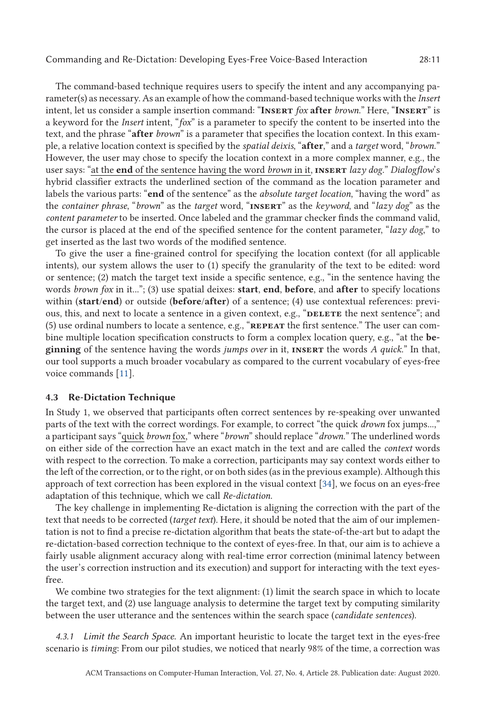The command-based technique requires users to specify the intent and any accompanying parameter(s) as necessary. As an example of how the command-based technique works with the *Insert* intent, let us consider a sample insertion command: "**Insert** *fox* **after** *brown*." Here, "**Insert**" is a keyword for the *Insert* intent, "*fox*" is a parameter to specify the content to be inserted into the text, and the phrase "**after** *brown*" is a parameter that specifies the location context. In this example, a relative location context is specified by the *spatial deixis*, "**after**," and a *target* word, "*brown*." However, the user may chose to specify the location context in a more complex manner, e.g., the user says: "at the **end** of the sentence having the word *brown* in it, **insert** *lazy dog*." *Dialogflow*'s hybrid classifier extracts the underlined section of the command as the location parameter and labels the various parts: "**end** of the sentence" as the *absolute target location*, "having the word" as the *container phrase*, "*brown*" as the *target* word, "**insert**" as the *keyword*, and "*lazy dog*" as the *content parameter* to be inserted. Once labeled and the grammar checker finds the command valid, the cursor is placed at the end of the specified sentence for the content parameter, "*lazy dog*," to get inserted as the last two words of the modified sentence.

To give the user a fine-grained control for specifying the location context (for all applicable intents), our system allows the user to (1) specify the granularity of the text to be edited: word or sentence; (2) match the target text inside a specific sentence, e.g., "in the sentence having the words *brown fox* in it..."; (3) use spatial deixes: **start**, **end**, **before**, and **after** to specify locations within (**start**/**end**) or outside (**before**/**after**) of a sentence; (4) use contextual references: previous, this, and next to locate a sentence in a given context, e.g., "DELETE the next sentence"; and (5) use ordinal numbers to locate a sentence, e.g., "**repeat** the first sentence." The user can combine multiple location specification constructs to form a complex location query, e.g., "at the **beginning** of the sentence having the words *jumps over* in it, **insert** the words *A quick*." In that, our tool supports a much broader vocabulary as compared to the current vocabulary of eyes-free voice commands [\[11\]](#page-28-0).

#### **4.3 Re-Dictation Technique**

In Study 1, we observed that participants often correct sentences by re-speaking over unwanted parts of the text with the correct wordings. For example, to correct "the quick *drown* fox jumps...," a participant says "quick *brown* fox," where "*brown*" should replace "*drown*." The underlined words on either side of the correction have an exact match in the text and are called the *context* words with respect to the correction. To make a correction, participants may say context words either to the left of the correction, or to the right, or on both sides (as in the previous example). Although this approach of text correction has been explored in the visual context [\[34\]](#page-30-0), we focus on an eyes-free adaptation of this technique, which we call *Re-dictation*.

The key challenge in implementing Re-dictation is aligning the correction with the part of the text that needs to be corrected (*target text*). Here, it should be noted that the aim of our implementation is not to find a precise re-dictation algorithm that beats the state-of-the-art but to adapt the re-dictation-based correction technique to the context of eyes-free. In that, our aim is to achieve a fairly usable alignment accuracy along with real-time error correction (minimal latency between the user's correction instruction and its execution) and support for interacting with the text eyesfree.

We combine two strategies for the text alignment: (1) limit the search space in which to locate the target text, and (2) use language analysis to determine the target text by computing similarity between the user utterance and the sentences within the search space (*candidate sentences*).

*4.3.1 Limit the Search Space.* An important heuristic to locate the target text in the eyes-free scenario is *timing*: From our pilot studies, we noticed that nearly 98% of the time, a correction was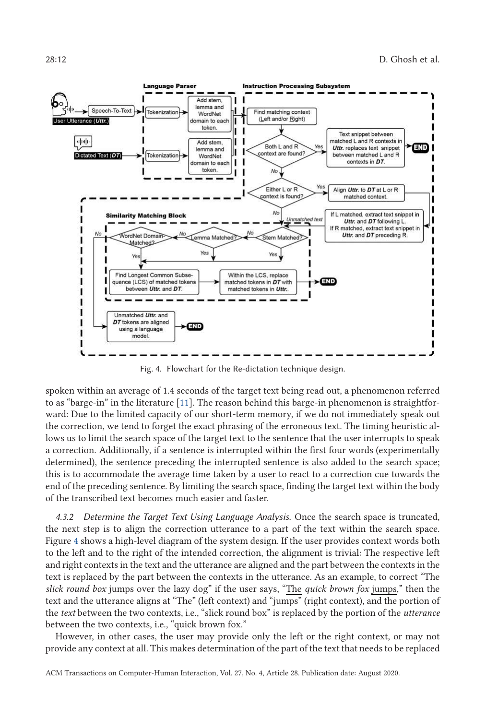<span id="page-11-0"></span>

Fig. 4. Flowchart for the Re-dictation technique design.

spoken within an average of 1.4 seconds of the target text being read out, a phenomenon referred to as "barge-in" in the literature [\[11\]](#page-28-0). The reason behind this barge-in phenomenon is straightforward: Due to the limited capacity of our short-term memory, if we do not immediately speak out the correction, we tend to forget the exact phrasing of the erroneous text. The timing heuristic allows us to limit the search space of the target text to the sentence that the user interrupts to speak a correction. Additionally, if a sentence is interrupted within the first four words (experimentally determined), the sentence preceding the interrupted sentence is also added to the search space; this is to accommodate the average time taken by a user to react to a correction cue towards the end of the preceding sentence. By limiting the search space, finding the target text within the body of the transcribed text becomes much easier and faster.

*4.3.2 Determine the Target Text Using Language Analysis.* Once the search space is truncated, the next step is to align the correction utterance to a part of the text within the search space. Figure 4 shows a high-level diagram of the system design. If the user provides context words both to the left and to the right of the intended correction, the alignment is trivial: The respective left and right contexts in the text and the utterance are aligned and the part between the contexts in the text is replaced by the part between the contexts in the utterance. As an example, to correct "The *slick round box* jumps over the lazy dog" if the user says, "The *quick brown fox* jumps," then the text and the utterance aligns at "The" (left context) and "jumps" (right context), and the portion of the *text* between the two contexts, i.e., "slick round box" is replaced by the portion of the *utterance* between the two contexts, i.e., "quick brown fox."

However, in other cases, the user may provide only the left or the right context, or may not provide any context at all. This makes determination of the part of the text that needs to be replaced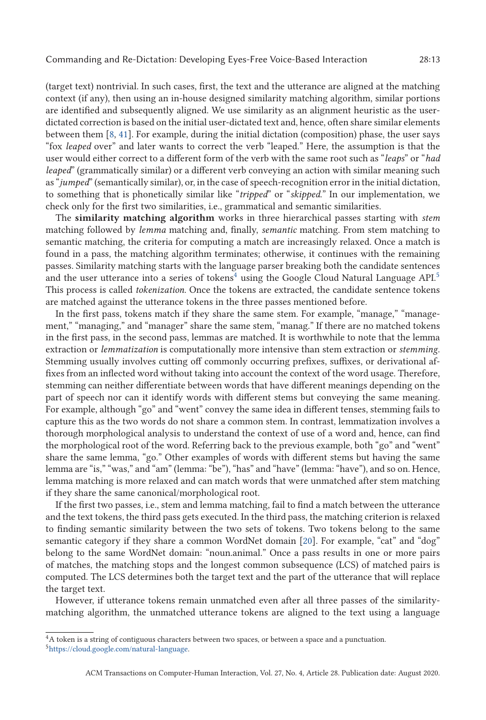(target text) nontrivial. In such cases, first, the text and the utterance are aligned at the matching context (if any), then using an in-house designed similarity matching algorithm, similar portions are identified and subsequently aligned. We use similarity as an alignment heuristic as the userdictated correction is based on the initial user-dictated text and, hence, often share similar elements between them [\[8,](#page-28-0) [41\]](#page-30-0). For example, during the initial dictation (composition) phase, the user says "fox *leaped* over" and later wants to correct the verb "leaped." Here, the assumption is that the user would either correct to a different form of the verb with the same root such as "*leaps*" or "*had leaped*" (grammatically similar) or a different verb conveying an action with similar meaning such as "*jumped*" (semantically similar), or, in the case of speech-recognition error in the initial dictation, to something that is phonetically similar like "*tripped*" or "*skipped*." In our implementation, we check only for the first two similarities, i.e., grammatical and semantic similarities.

The **similarity matching algorithm** works in three hierarchical passes starting with *stem* matching followed by *lemma* matching and, finally, *semantic* matching. From stem matching to semantic matching, the criteria for computing a match are increasingly relaxed. Once a match is found in a pass, the matching algorithm terminates; otherwise, it continues with the remaining passes. Similarity matching starts with the language parser breaking both the candidate sentences and the user utterance into a series of tokens<sup>4</sup> using the Google Cloud Natural Language  $API.5$ This process is called *tokenization*. Once the tokens are extracted, the candidate sentence tokens are matched against the utterance tokens in the three passes mentioned before.

In the first pass, tokens match if they share the same stem. For example, "manage," "management," "managing," and "manager" share the same stem, "manag." If there are no matched tokens in the first pass, in the second pass, lemmas are matched. It is worthwhile to note that the lemma extraction or *lemmatization* is computationally more intensive than stem extraction or *stemming*. Stemming usually involves cutting off commonly occurring prefixes, suffixes, or derivational affixes from an inflected word without taking into account the context of the word usage. Therefore, stemming can neither differentiate between words that have different meanings depending on the part of speech nor can it identify words with different stems but conveying the same meaning. For example, although "go" and "went" convey the same idea in different tenses, stemming fails to capture this as the two words do not share a common stem. In contrast, lemmatization involves a thorough morphological analysis to understand the context of use of a word and, hence, can find the morphological root of the word. Referring back to the previous example, both "go" and "went" share the same lemma, "go." Other examples of words with different stems but having the same lemma are "is," "was," and "am" (lemma: "be"), "has" and "have" (lemma: "have"), and so on. Hence, lemma matching is more relaxed and can match words that were unmatched after stem matching if they share the same canonical/morphological root.

If the first two passes, i.e., stem and lemma matching, fail to find a match between the utterance and the text tokens, the third pass gets executed. In the third pass, the matching criterion is relaxed to finding semantic similarity between the two sets of tokens. Two tokens belong to the same semantic category if they share a common WordNet domain [\[20\]](#page-29-0). For example, "cat" and "dog" belong to the same WordNet domain: "noun.animal." Once a pass results in one or more pairs of matches, the matching stops and the longest common subsequence (LCS) of matched pairs is computed. The LCS determines both the target text and the part of the utterance that will replace the target text.

However, if utterance tokens remain unmatched even after all three passes of the similaritymatching algorithm, the unmatched utterance tokens are aligned to the text using a language

<sup>&</sup>lt;sup>4</sup>A token is a string of contiguous characters between two spaces, or between a space and a punctuation.

[<sup>5</sup>https://cloud.google.com/natural-language.](https://cloud.google.com/natural-language)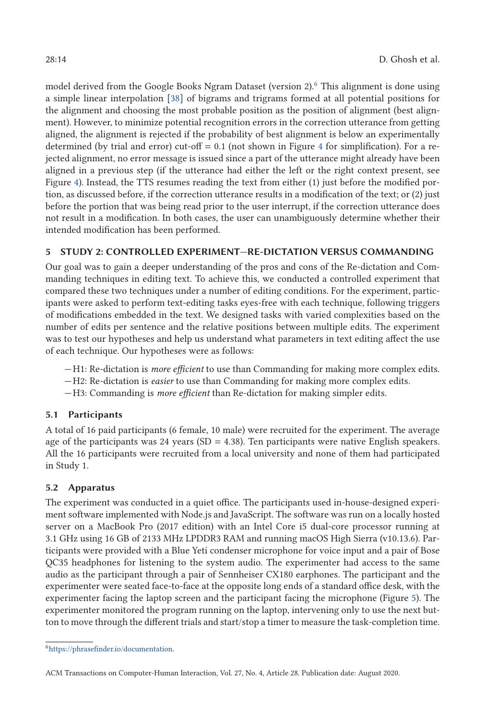model derived from the Google Books Ngram Dataset (version 2).<sup>6</sup> This alignment is done using a simple linear interpolation [\[38\]](#page-30-0) of bigrams and trigrams formed at all potential positions for the alignment and choosing the most probable position as the position of alignment (best alignment). However, to minimize potential recognition errors in the correction utterance from getting aligned, the alignment is rejected if the probability of best alignment is below an experimentally determined (by trial and error) cut-off  $= 0.1$  (not shown in Figure [4](#page-11-0) for simplification). For a rejected alignment, no error message is issued since a part of the utterance might already have been aligned in a previous step (if the utterance had either the left or the right context present, see Figure [4\)](#page-11-0). Instead, the TTS resumes reading the text from either (1) just before the modified portion, as discussed before, if the correction utterance results in a modification of the text; or (2) just before the portion that was being read prior to the user interrupt, if the correction utterance does not result in a modification. In both cases, the user can unambiguously determine whether their intended modification has been performed.

# **5 STUDY 2: CONTROLLED EXPERIMENT—RE-DICTATION VERSUS COMMANDING**

Our goal was to gain a deeper understanding of the pros and cons of the Re-dictation and Commanding techniques in editing text. To achieve this, we conducted a controlled experiment that compared these two techniques under a number of editing conditions. For the experiment, participants were asked to perform text-editing tasks eyes-free with each technique, following triggers of modifications embedded in the text. We designed tasks with varied complexities based on the number of edits per sentence and the relative positions between multiple edits. The experiment was to test our hypotheses and help us understand what parameters in text editing affect the use of each technique. Our hypotheses were as follows:

- —H1: Re-dictation is *more efficient* to use than Commanding for making more complex edits.
- —H2: Re-dictation is *easier* to use than Commanding for making more complex edits.
- —H3: Commanding is *more efficient* than Re-dictation for making simpler edits.

# **5.1 Participants**

A total of 16 paid participants (6 female, 10 male) were recruited for the experiment. The average age of the participants was 24 years ( $SD = 4.38$ ). Ten participants were native English speakers. All the 16 participants were recruited from a local university and none of them had participated in Study 1.

# **5.2 Apparatus**

The experiment was conducted in a quiet office. The participants used in-house-designed experiment software implemented with Node.js and JavaScript. The software was run on a locally hosted server on a MacBook Pro (2017 edition) with an Intel Core i5 dual-core processor running at 3.1 GHz using 16 GB of 2133 MHz LPDDR3 RAM and running macOS High Sierra (v10.13.6). Participants were provided with a Blue Yeti condenser microphone for voice input and a pair of Bose QC35 headphones for listening to the system audio. The experimenter had access to the same audio as the participant through a pair of Sennheiser CX180 earphones. The participant and the experimenter were seated face-to-face at the opposite long ends of a standard office desk, with the experimenter facing the laptop screen and the participant facing the microphone (Figure [5\)](#page-14-0). The experimenter monitored the program running on the laptop, intervening only to use the next button to move through the different trials and start/stop a timer to measure the task-completion time.

[<sup>6</sup>https://phrasefinder.io/documentation.](https://phrasefinder.io/documentation)

ACM Transactions on Computer-Human Interaction, Vol. 27, No. 4, Article 28. Publication date: August 2020.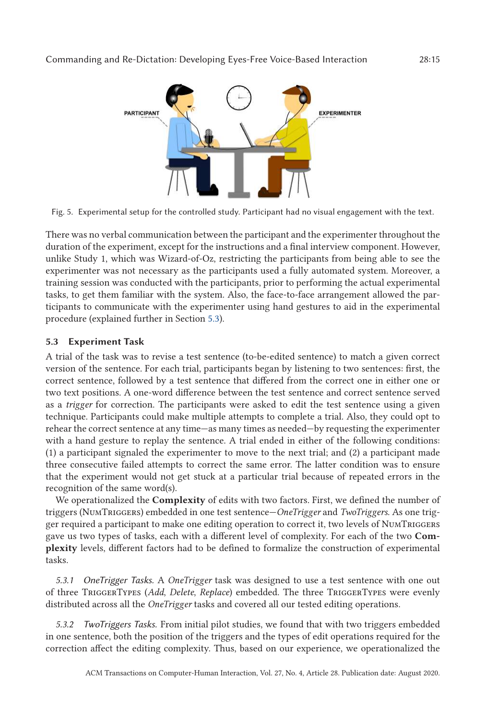<span id="page-14-0"></span>

Fig. 5. Experimental setup for the controlled study. Participant had no visual engagement with the text.

There was no verbal communication between the participant and the experimenter throughout the duration of the experiment, except for the instructions and a final interview component. However, unlike Study 1, which was Wizard-of-Oz, restricting the participants from being able to see the experimenter was not necessary as the participants used a fully automated system. Moreover, a training session was conducted with the participants, prior to performing the actual experimental tasks, to get them familiar with the system. Also, the face-to-face arrangement allowed the participants to communicate with the experimenter using hand gestures to aid in the experimental procedure (explained further in Section 5.3).

# **5.3 Experiment Task**

A trial of the task was to revise a test sentence (to-be-edited sentence) to match a given correct version of the sentence. For each trial, participants began by listening to two sentences: first, the correct sentence, followed by a test sentence that differed from the correct one in either one or two text positions. A one-word difference between the test sentence and correct sentence served as a *trigger* for correction. The participants were asked to edit the test sentence using a given technique. Participants could make multiple attempts to complete a trial. Also, they could opt to rehear the correct sentence at any time—as many times as needed—by requesting the experimenter with a hand gesture to replay the sentence. A trial ended in either of the following conditions: (1) a participant signaled the experimenter to move to the next trial; and (2) a participant made three consecutive failed attempts to correct the same error. The latter condition was to ensure that the experiment would not get stuck at a particular trial because of repeated errors in the recognition of the same word(s).

We operationalized the **Complexity** of edits with two factors. First, we defined the number of triggers (NumTriggers) embedded in one test sentence—*OneTrigger* and *TwoTriggers*. As one trigger required a participant to make one editing operation to correct it, two levels of NumTriggers gave us two types of tasks, each with a different level of complexity. For each of the two **Complexity** levels, different factors had to be defined to formalize the construction of experimental tasks.

*5.3.1 OneTrigger Tasks.* A *OneTrigger* task was designed to use a test sentence with one out of three TriggerTypes (*Add*, *Delete*, *Replace*) embedded. The three TriggerTypes were evenly distributed across all the *OneTrigger* tasks and covered all our tested editing operations.

*5.3.2 TwoTriggers Tasks.* From initial pilot studies, we found that with two triggers embedded in one sentence, both the position of the triggers and the types of edit operations required for the correction affect the editing complexity. Thus, based on our experience, we operationalized the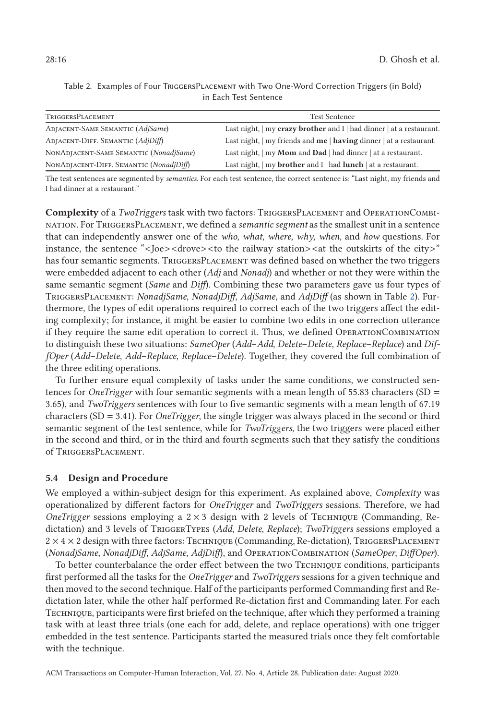| TriggersPlacement                       | <b>Test Sentence</b>                                                                               |
|-----------------------------------------|----------------------------------------------------------------------------------------------------|
| <b>ADJACENT-SAME SEMANTIC (AdjSame)</b> | Last night, $\vert$ my crazy brother and I $\vert$ had dinner $\vert$ at a restaurant.             |
| ADJACENT-DIFF. SEMANTIC (AdjDiff)       | Last night, $\vert$ my friends and <b>me</b> $\vert$ <b>having</b> dinner $\vert$ at a restaurant. |
| NONADJACENT-SAME SEMANTIC (NonadjSame)  | Last night, $\vert$ my <b>Mom</b> and <b>Dad</b> $\vert$ had dinner $\vert$ at a restaurant.       |
| NONADJACENT-DIFF. SEMANTIC (NonadjDiff) | Last night, $\vert$ my <b>brother</b> and I $\vert$ had <b>lunch</b> $\vert$ at a restaurant.      |

Table 2. Examples of Four TriggersPlacement with Two One-Word Correction Triggers (in Bold) in Each Test Sentence

The test sentences are segmented by *semantics*. For each test sentence, the correct sentence is: "Last night, my friends and I had dinner at a restaurant."

**Complexity** of a *TwoTriggers* task with two factors: TriggersPlacement and OperationCombination. For TriggersPlacement, we defined a *semantic segment* as the smallest unit in a sentence that can independently answer one of the *who*, *what*, *where*, *why*, *when*, and *how* questions. For instance, the sentence "<Joe><drove><to the railway station><at the outskirts of the city>" has four semantic segments. TRIGGERSPLACEMENT was defined based on whether the two triggers were embedded adjacent to each other (*Adj* and *Nonadj*) and whether or not they were within the same semantic segment (*Same* and *Diff*). Combining these two parameters gave us four types of TriggersPlacement: *NonadjSame*, *NonadjDiff*, *AdjSame*, and *AdjDiff* (as shown in Table 2). Furthermore, the types of edit operations required to correct each of the two triggers affect the editing complexity; for instance, it might be easier to combine two edits in one correction utterance if they require the same edit operation to correct it. Thus, we defined OperationCombination to distinguish these two situations: *SameOper* (*Add*–*Add*, *Delete*–*Delete*, *Replace*–*Replace*) and *DiffOper* (*Add*–*Delete*, *Add*–*Replace*, *Replace*–*Delete*). Together, they covered the full combination of the three editing operations.

To further ensure equal complexity of tasks under the same conditions, we constructed sentences for *OneTrigger* with four semantic segments with a mean length of 55.83 characters (SD = 3.65), and *TwoTriggers* sentences with four to five semantic segments with a mean length of 67.19 characters (SD = 3.41). For *OneTrigger*, the single trigger was always placed in the second or third semantic segment of the test sentence, while for *TwoTriggers*, the two triggers were placed either in the second and third, or in the third and fourth segments such that they satisfy the conditions of TriggersPlacement.

### **5.4 Design and Procedure**

We employed a within-subject design for this experiment. As explained above, *Complexity* was operationalized by different factors for *OneTrigger* and *TwoTriggers* sessions. Therefore, we had *OneTrigger* sessions employing a  $2 \times 3$  design with 2 levels of TECHNIQUE (Commanding, Redictation) and 3 levels of TriggerTypes (*Add*, *Delete*, *Replace*); *TwoTriggers* sessions employed a  $2 \times 4 \times 2$  design with three factors: Technique (Commanding, Re-dictation), TriggersPLACEMENT (*NonadjSame*, *NonadjDiff*, *AdjSame*, *AdjDiff*), and OperationCombination (*SameOper*, *DiffOper*).

To better counterbalance the order effect between the two TECHNIQUE conditions, participants first performed all the tasks for the *OneTrigger* and *TwoTriggers* sessions for a given technique and then moved to the second technique. Half of the participants performed Commanding first and Redictation later, while the other half performed Re-dictation first and Commanding later. For each Techniqe, participants were first briefed on the technique, after which they performed a training task with at least three trials (one each for add, delete, and replace operations) with one trigger embedded in the test sentence. Participants started the measured trials once they felt comfortable with the technique.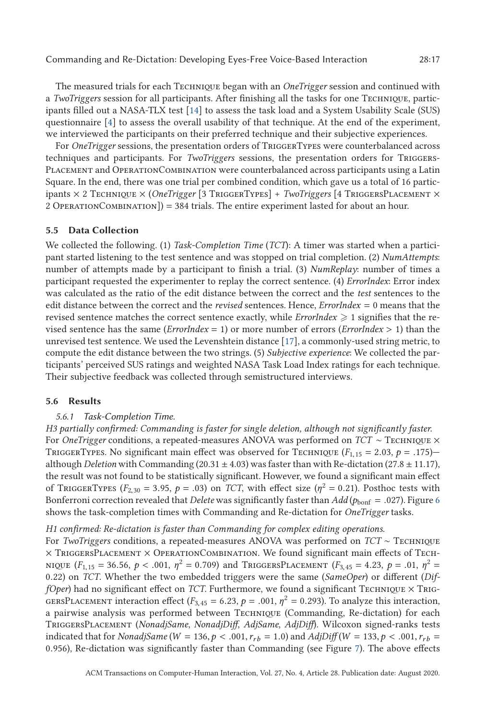The measured trials for each TECHNIQUE began with an *OneTrigger* session and continued with a *TwoTriggers* session for all participants. After finishing all the tasks for one Techniqe, participants filled out a NASA-TLX test [\[14\]](#page-29-0) to assess the task load and a System Usability Scale (SUS) questionnaire [\[4\]](#page-28-0) to assess the overall usability of that technique. At the end of the experiment, we interviewed the participants on their preferred technique and their subjective experiences.

For *OneTrigger* sessions, the presentation orders of TRIGGERTYPES were counterbalanced across techniques and participants. For *TwoTriggers* sessions, the presentation orders for Triggers-Placement and OperationCombination were counterbalanced across participants using a Latin Square. In the end, there was one trial per combined condition, which gave us a total of 16 participants  $\times$  2 Technique  $\times$  (*OneTrigger* [3 TriggerTypes] + *TwoTriggers* [4 TriggersPlacement  $\times$  $2$  OperationCombination]) = 384 trials. The entire experiment lasted for about an hour.

#### **5.5 Data Collection**

We collected the following. (1) *Task-Completion Time* (*TCT*): A timer was started when a participant started listening to the test sentence and was stopped on trial completion. (2) *NumAttempts*: number of attempts made by a participant to finish a trial. (3) *NumReplay*: number of times a participant requested the experimenter to replay the correct sentence. (4) *ErrorIndex*: Error index was calculated as the ratio of the edit distance between the correct and the *test* sentences to the edit distance between the correct and the *revised* sentences. Hence, *ErrorIndex* = 0 means that the revised sentence matches the correct sentence exactly, while  $\emph{ErrorIndex} \geqslant 1$  signifies that the revised sentence has the same (*ErrorIndex* = 1) or more number of errors (*ErrorIndex* > 1) than the unrevised test sentence. We used the Levenshtein distance [\[17\]](#page-29-0), a commonly-used string metric, to compute the edit distance between the two strings. (5) *Subjective experience*: We collected the participants' perceived SUS ratings and weighted NASA Task Load Index ratings for each technique. Their subjective feedback was collected through semistructured interviews.

#### **5.6 Results**

### *5.6.1 Task-Completion Time.*

*H3 partially confirmed: Commanding is faster for single deletion, although not significantly faster.* For *OneTrigger* conditions, a repeated-measures ANOVA was performed on *TCT* ∼ TECHNIQUE × TRIGGERTYPES. No significant main effect was observed for TECHNIQUE  $(F_{1,15} = 2.03, p = .175)$ although *Deletion* with Commanding (20.31 ± 4.03) was faster than with Re-dictation (27.8 ± 11.17), the result was not found to be statistically significant. However, we found a significant main effect of TRIGGERTYPES ( $F_{2,30} = 3.95$ ,  $p = .03$ ) on *TCT*, with effect size ( $\eta^2 = 0.21$ ). Posthoc tests with Bonferroni correction revealed that *Delete* was significantly faster than *Add* ( $p_{\text{bonf}} = .027$ ). Figure [6](#page-17-0) shows the task-completion times with Commanding and Re-dictation for *OneTrigger* tasks.

### *H1 confirmed: Re-dictation is faster than Commanding for complex editing operations.*

For *TwoTriggers* conditions, a repeated-measures ANOVA was performed on *TCT* ∼ Techniqe  $\times$  TriggersPlacement  $\times$  OperationCombination. We found significant main effects of Tech-NIQUE  $(F_{1,15} = 36.56, p < .001, \eta^2 = 0.709)$  and TRIGGERSPLACEMENT  $(F_{3,45} = 4.23, p = .01, \eta^2 = 0.01, p = .01)$ 0.22) on *TCT*. Whether the two embedded triggers were the same (*SameOper*) or different (*DiffOper*) had no significant effect on *TCT*. Furthermore, we found a significant TECHNIQUE  $\times$  TRIG-GERSPLACEMENT interaction effect ( $F_{3,45} = 6.23$ ,  $p = .001$ ,  $\eta^2 = 0.293$ ). To analyze this interaction, a pairwise analysis was performed between TECHNIQUE (Commanding, Re-dictation) for each TriggersPlacement (*NonadjSame*, *NonadjDiff*, *AdjSame*, *AdjDiff*). Wilcoxon signed-ranks tests indicated that for *NonadjSame* ( $W = 136, p < .001, r_{rb} = 1.0$ ) and  $AdjDiff(W = 133, p < .001, r_{rb} = 1.00$ 0.956), Re-dictation was significantly faster than Commanding (see Figure [7\)](#page-17-0). The above effects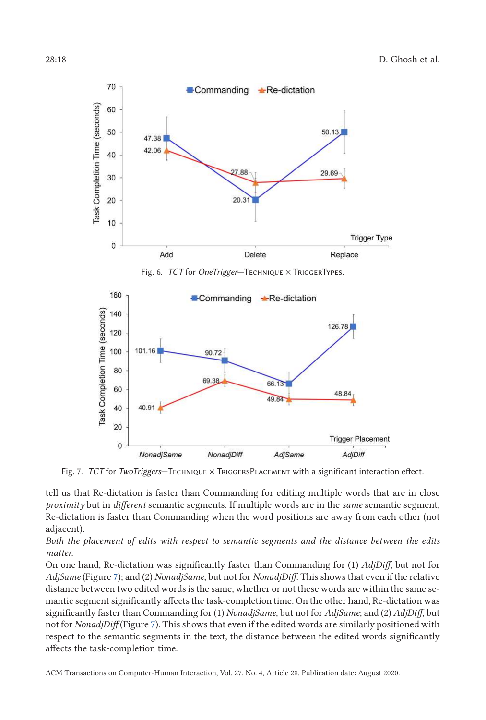<span id="page-17-0"></span>

Fig. 7. *TCT* for *TwoTriggers*—Technique × TriggersPlacement with a significant interaction effect.

tell us that Re-dictation is faster than Commanding for editing multiple words that are in close *proximity* but in *different* semantic segments. If multiple words are in the *same* semantic segment, Re-dictation is faster than Commanding when the word positions are away from each other (not adjacent).

*Both the placement of edits with respect to semantic segments and the distance between the edits matter.*

On one hand, Re-dictation was significantly faster than Commanding for (1) *AdjDiff*, but not for *AdjSame* (Figure 7); and (2) *NonadjSame*, but not for *NonadjDiff*. This shows that even if the relative distance between two edited words is the same, whether or not these words are within the same semantic segment significantly affects the task-completion time. On the other hand, Re-dictation was significantly faster than Commanding for (1) *NonadjSame*, but not for *AdjSame*; and (2) *AdjDiff*, but not for *NonadjDiff* (Figure 7). This shows that even if the edited words are similarly positioned with respect to the semantic segments in the text, the distance between the edited words significantly affects the task-completion time.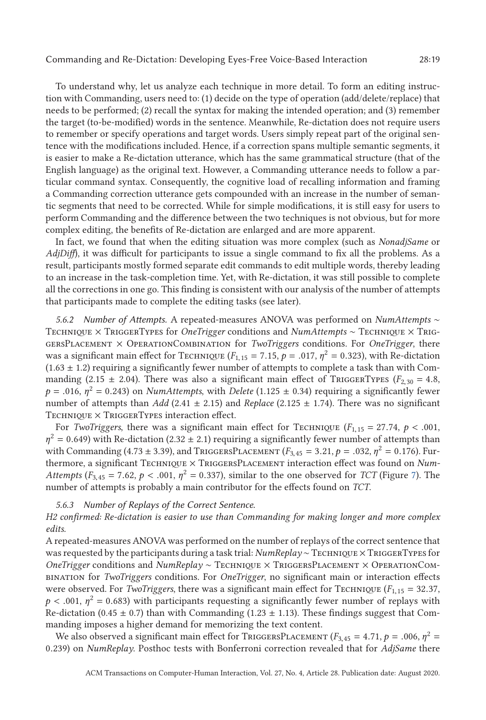To understand why, let us analyze each technique in more detail. To form an editing instruction with Commanding, users need to: (1) decide on the type of operation (add/delete/replace) that needs to be performed; (2) recall the syntax for making the intended operation; and (3) remember the target (to-be-modified) words in the sentence. Meanwhile, Re-dictation does not require users to remember or specify operations and target words. Users simply repeat part of the original sentence with the modifications included. Hence, if a correction spans multiple semantic segments, it is easier to make a Re-dictation utterance, which has the same grammatical structure (that of the English language) as the original text. However, a Commanding utterance needs to follow a particular command syntax. Consequently, the cognitive load of recalling information and framing a Commanding correction utterance gets compounded with an increase in the number of semantic segments that need to be corrected. While for simple modifications, it is still easy for users to perform Commanding and the difference between the two techniques is not obvious, but for more complex editing, the benefits of Re-dictation are enlarged and are more apparent.

In fact, we found that when the editing situation was more complex (such as *NonadjSame* or *AdjDiff*), it was difficult for participants to issue a single command to fix all the problems. As a result, participants mostly formed separate edit commands to edit multiple words, thereby leading to an increase in the task-completion time. Yet, with Re-dictation, it was still possible to complete all the corrections in one go. This finding is consistent with our analysis of the number of attempts that participants made to complete the editing tasks (see later).

*5.6.2 Number of Attempts.* A repeated-measures ANOVA was performed on *NumAttempts* ∼ TECHNIQUE × TRIGGERTYPES for *OneTrigger* conditions and *NumAttempts* ~ TECHNIQUE × TRIGgersPlacement × OperationCombination for *TwoTriggers* conditions. For *OneTrigger*, there was a significant main effect for TECHNIQUE ( $F_{1,15} = 7.15$ ,  $p = .017$ ,  $\eta^2 = 0.323$ ), with Re-dictation  $(1.63 \pm 1.2)$  requiring a significantly fewer number of attempts to complete a task than with Commanding (2.15  $\pm$  2.04). There was also a significant main effect of TRIGGERTYPES ( $F_{2,30} = 4.8$ ,  $p = .016$ ,  $\eta^2 = 0.243$ ) on *NumAttempts*, with *Delete* (1.125  $\pm$  0.34) requiring a significantly fewer number of attempts than *Add* (2.41 ± 2.15) and *Replace* (2.125 ± 1.74). There was no significant  $T$ ECHNIQUE  $\times$  TRIGGERTYPES interaction effect.

For *TwoTriggers*, there was a significant main effect for TECHNIQUE ( $F_{1,15} = 27.74$ ,  $p < .001$ ,  $\eta^2 = 0.649$ ) with Re-dictation (2.32 ± 2.1) requiring a significantly fewer number of attempts than with Commanding (4.73 ± 3.39), and TRIGGERSPLACEMENT ( $F_{3,45} = 3.21$ ,  $p = .032$ ,  $\eta^2 = 0.176$ ). Furthermore, a significant TECHNIQUE × TRIGGERSPLACEMENT interaction effect was found on *Num-Attempts* ( $F_{3,45}$  = 7.62,  $p < .001$ ,  $\eta^2$  = 0.33[7\)](#page-17-0), similar to the one observed for *TCT* (Figure 7). The number of attempts is probably a main contributor for the effects found on *TCT*.

#### *5.6.3 Number of Replays of the Correct Sentence.*

*H2 confirmed: Re-dictation is easier to use than Commanding for making longer and more complex edits.*

A repeated-measures ANOVA was performed on the number of replays of the correct sentence that was requested by the participants during a task trial: *NumReplay* ∼ TECHNIQUE × TRIGGERTYPES for *OneTrigger* conditions and *NumReplay* ~ Technique × TriggersPlacement × OperationCombination for *TwoTriggers* conditions. For *OneTrigger*, no significant main or interaction effects were observed. For *TwoTriggers*, there was a significant main effect for TECHNIQUE ( $F_{1,15} = 32.37$ ,  $p < .001$ ,  $\eta^2 = 0.683$ ) with participants requesting a significantly fewer number of replays with Re-dictation (0.45  $\pm$  0.7) than with Commanding (1.23  $\pm$  1.13). These findings suggest that Commanding imposes a higher demand for memorizing the text content.

We also observed a significant main effect for TRIGGERSPLACEMENT ( $F_{3,45} = 4.71$ ,  $p = .006$ ,  $\eta^2 =$ 0.239) on *NumReplay*. Posthoc tests with Bonferroni correction revealed that for *AdjSame* there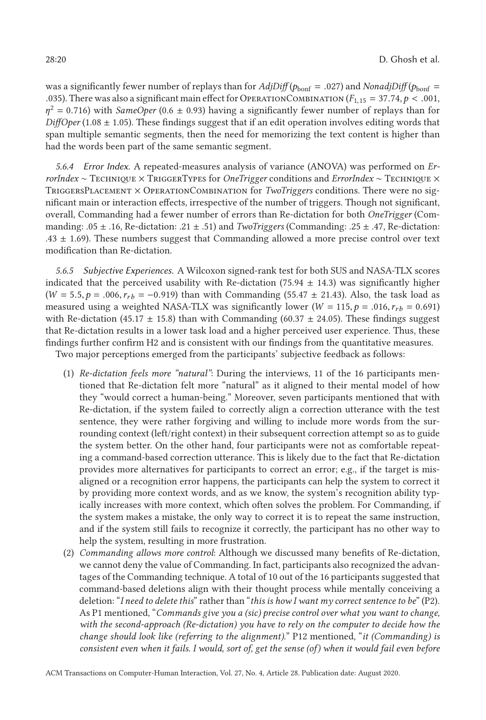was a significantly fewer number of replays than for  $AdjDiff(p_{\text{bonf}} = .027)$  and  $NonadjDiff(p_{\text{bonf}} =$ .035). There was also a significant main effect for OPERATIONCOMBINATION ( $F_{1,15} = 37.74, p < .001$ ,  $\eta^2$  = 0.716) with *SameOper* (0.6  $\pm$  0.93) having a significantly fewer number of replays than for *DiffOper* (1.08  $\pm$  1.05). These findings suggest that if an edit operation involves editing words that span multiple semantic segments, then the need for memorizing the text content is higher than had the words been part of the same semantic segment.

*5.6.4 Error Index.* A repeated-measures analysis of variance (ANOVA) was performed on *ErrorIndex* ∼ Technique × TriggerTypes for *OneTrigger* conditions and *ErrorIndex* ∼ Technique × TriggersPlacement × OperationCombination for *TwoTriggers* conditions. There were no significant main or interaction effects, irrespective of the number of triggers. Though not significant, overall, Commanding had a fewer number of errors than Re-dictation for both *OneTrigger* (Commanding: .05 ± .16, Re-dictation: .21 ± .51) and *TwoTriggers* (Commanding: .25 ± .47, Re-dictation: .43  $\pm$  1.69). These numbers suggest that Commanding allowed a more precise control over text modification than Re-dictation.

*5.6.5 Subjective Experiences.* A Wilcoxon signed-rank test for both SUS and NASA-TLX scores indicated that the perceived usability with Re-dictation  $(75.94 \pm 14.3)$  was significantly higher  $(W = 5.5, p = .006, r_{rb} = -0.919)$  than with Commanding (55.47  $\pm$  21.43). Also, the task load as measured using a weighted NASA-TLX was significantly lower ( $W = 115$ ,  $p = .016$ ,  $r_{rb} = 0.691$ ) with Re-dictation (45.17  $\pm$  15.8) than with Commanding (60.37  $\pm$  24.05). These findings suggest that Re-dictation results in a lower task load and a higher perceived user experience. Thus, these findings further confirm H2 and is consistent with our findings from the quantitative measures.

Two major perceptions emerged from the participants' subjective feedback as follows:

- (1) *Re-dictation feels more "natural"*: During the interviews, 11 of the 16 participants mentioned that Re-dictation felt more "natural" as it aligned to their mental model of how they "would correct a human-being." Moreover, seven participants mentioned that with Re-dictation, if the system failed to correctly align a correction utterance with the test sentence, they were rather forgiving and willing to include more words from the surrounding context (left/right context) in their subsequent correction attempt so as to guide the system better. On the other hand, four participants were not as comfortable repeating a command-based correction utterance. This is likely due to the fact that Re-dictation provides more alternatives for participants to correct an error; e.g., if the target is misaligned or a recognition error happens, the participants can help the system to correct it by providing more context words, and as we know, the system's recognition ability typically increases with more context, which often solves the problem. For Commanding, if the system makes a mistake, the only way to correct it is to repeat the same instruction, and if the system still fails to recognize it correctly, the participant has no other way to help the system, resulting in more frustration.
- (2) *Commanding allows more control*: Although we discussed many benefits of Re-dictation, we cannot deny the value of Commanding. In fact, participants also recognized the advantages of the Commanding technique. A total of 10 out of the 16 participants suggested that command-based deletions align with their thought process while mentally conceiving a deletion: "*I need to delete this*" rather than "*this is how I want my correct sentence to be*" (P2). As P1 mentioned, "*Commands give you a (sic) precise control over what you want to change, with the second-approach (Re-dictation) you have to rely on the computer to decide how the change should look like (referring to the alignment)*." P12 mentioned, "*it (Commanding) is consistent even when it fails. I would, sort of, get the sense (of) when it would fail even before*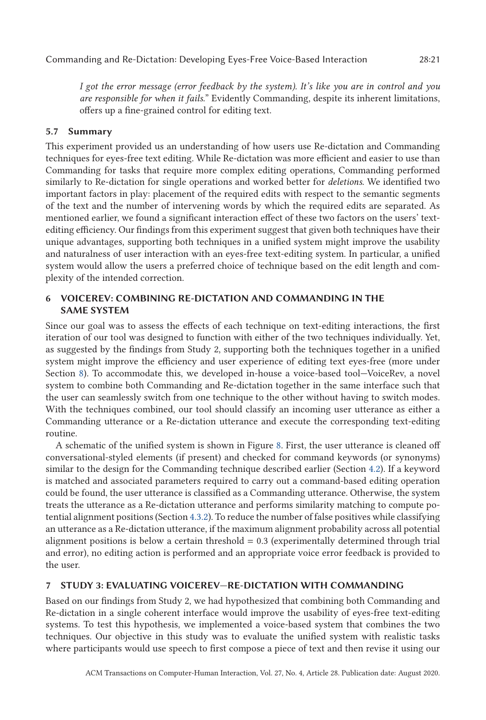*I got the error message (error feedback by the system). It's like you are in control and you are responsible for when it fails.*" Evidently Commanding, despite its inherent limitations, offers up a fine-grained control for editing text.

# **5.7 Summary**

This experiment provided us an understanding of how users use Re-dictation and Commanding techniques for eyes-free text editing. While Re-dictation was more efficient and easier to use than Commanding for tasks that require more complex editing operations, Commanding performed similarly to Re-dictation for single operations and worked better for *deletions*. We identified two important factors in play: placement of the required edits with respect to the semantic segments of the text and the number of intervening words by which the required edits are separated. As mentioned earlier, we found a significant interaction effect of these two factors on the users' textediting efficiency. Our findings from this experiment suggest that given both techniques have their unique advantages, supporting both techniques in a unified system might improve the usability and naturalness of user interaction with an eyes-free text-editing system. In particular, a unified system would allow the users a preferred choice of technique based on the edit length and complexity of the intended correction.

# **6 VOICEREV: COMBINING RE-DICTATION AND COMMANDING IN THE SAME SYSTEM**

Since our goal was to assess the effects of each technique on text-editing interactions, the first iteration of our tool was designed to function with either of the two techniques individually. Yet, as suggested by the findings from Study 2, supporting both the techniques together in a unified system might improve the efficiency and user experience of editing text eyes-free (more under Section [8\)](#page-25-0). To accommodate this, we developed in-house a voice-based tool—VoiceRev, a novel system to combine both Commanding and Re-dictation together in the same interface such that the user can seamlessly switch from one technique to the other without having to switch modes. With the techniques combined, our tool should classify an incoming user utterance as either a Commanding utterance or a Re-dictation utterance and execute the corresponding text-editing routine.

A schematic of the unified system is shown in Figure [8.](#page-21-0) First, the user utterance is cleaned off conversational-styled elements (if present) and checked for command keywords (or synonyms) similar to the design for the Commanding technique described earlier (Section [4.2\)](#page-9-0). If a keyword is matched and associated parameters required to carry out a command-based editing operation could be found, the user utterance is classified as a Commanding utterance. Otherwise, the system treats the utterance as a Re-dictation utterance and performs similarity matching to compute potential alignment positions (Section [4.3.2\)](#page-11-0). To reduce the number of false positives while classifying an utterance as a Re-dictation utterance, if the maximum alignment probability across all potential alignment positions is below a certain threshold = 0.3 (experimentally determined through trial and error), no editing action is performed and an appropriate voice error feedback is provided to the user.

# **7 STUDY 3: EVALUATING VOICEREV—RE-DICTATION WITH COMMANDING**

Based on our findings from Study 2, we had hypothesized that combining both Commanding and Re-dictation in a single coherent interface would improve the usability of eyes-free text-editing systems. To test this hypothesis, we implemented a voice-based system that combines the two techniques. Our objective in this study was to evaluate the unified system with realistic tasks where participants would use speech to first compose a piece of text and then revise it using our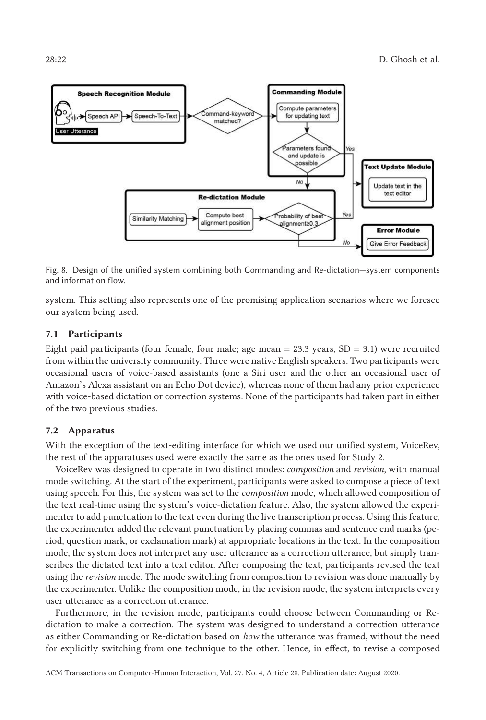<span id="page-21-0"></span>

Fig. 8. Design of the unified system combining both Commanding and Re-dictation—system components and information flow.

system. This setting also represents one of the promising application scenarios where we foresee our system being used.

#### **7.1 Participants**

Eight paid participants (four female, four male; age mean  $= 23.3$  years,  $SD = 3.1$ ) were recruited from within the university community. Three were native English speakers. Two participants were occasional users of voice-based assistants (one a Siri user and the other an occasional user of Amazon's Alexa assistant on an Echo Dot device), whereas none of them had any prior experience with voice-based dictation or correction systems. None of the participants had taken part in either of the two previous studies.

#### **7.2 Apparatus**

With the exception of the text-editing interface for which we used our unified system, VoiceRev, the rest of the apparatuses used were exactly the same as the ones used for Study 2.

VoiceRev was designed to operate in two distinct modes: *composition* and *revision*, with manual mode switching. At the start of the experiment, participants were asked to compose a piece of text using speech. For this, the system was set to the *composition* mode, which allowed composition of the text real-time using the system's voice-dictation feature. Also, the system allowed the experimenter to add punctuation to the text even during the live transcription process. Using this feature, the experimenter added the relevant punctuation by placing commas and sentence end marks (period, question mark, or exclamation mark) at appropriate locations in the text. In the composition mode, the system does not interpret any user utterance as a correction utterance, but simply transcribes the dictated text into a text editor. After composing the text, participants revised the text using the *revision* mode. The mode switching from composition to revision was done manually by the experimenter. Unlike the composition mode, in the revision mode, the system interprets every user utterance as a correction utterance.

Furthermore, in the revision mode, participants could choose between Commanding or Redictation to make a correction. The system was designed to understand a correction utterance as either Commanding or Re-dictation based on *how* the utterance was framed, without the need for explicitly switching from one technique to the other. Hence, in effect, to revise a composed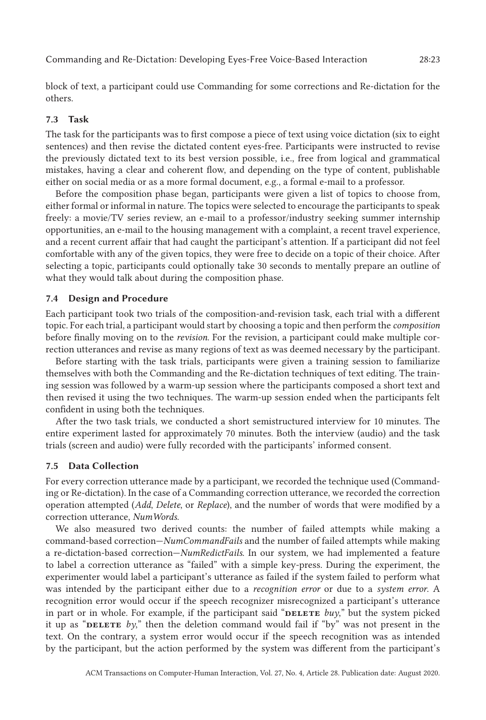Commanding and Re-Dictation: Developing Eyes-Free Voice-Based Interaction 28:23

block of text, a participant could use Commanding for some corrections and Re-dictation for the others.

# **7.3 Task**

The task for the participants was to first compose a piece of text using voice dictation (six to eight sentences) and then revise the dictated content eyes-free. Participants were instructed to revise the previously dictated text to its best version possible, i.e., free from logical and grammatical mistakes, having a clear and coherent flow, and depending on the type of content, publishable either on social media or as a more formal document, e.g., a formal e-mail to a professor.

Before the composition phase began, participants were given a list of topics to choose from, either formal or informal in nature. The topics were selected to encourage the participants to speak freely: a movie/TV series review, an e-mail to a professor/industry seeking summer internship opportunities, an e-mail to the housing management with a complaint, a recent travel experience, and a recent current affair that had caught the participant's attention. If a participant did not feel comfortable with any of the given topics, they were free to decide on a topic of their choice. After selecting a topic, participants could optionally take 30 seconds to mentally prepare an outline of what they would talk about during the composition phase.

### **7.4 Design and Procedure**

Each participant took two trials of the composition-and-revision task, each trial with a different topic. For each trial, a participant would start by choosing a topic and then perform the *composition* before finally moving on to the *revision*. For the revision, a participant could make multiple correction utterances and revise as many regions of text as was deemed necessary by the participant.

Before starting with the task trials, participants were given a training session to familiarize themselves with both the Commanding and the Re-dictation techniques of text editing. The training session was followed by a warm-up session where the participants composed a short text and then revised it using the two techniques. The warm-up session ended when the participants felt confident in using both the techniques.

After the two task trials, we conducted a short semistructured interview for 10 minutes. The entire experiment lasted for approximately 70 minutes. Both the interview (audio) and the task trials (screen and audio) were fully recorded with the participants' informed consent.

# **7.5 Data Collection**

For every correction utterance made by a participant, we recorded the technique used (Commanding or Re-dictation). In the case of a Commanding correction utterance, we recorded the correction operation attempted (*Add*, *Delete*, or *Replace*), and the number of words that were modified by a correction utterance, *NumWords*.

We also measured two derived counts: the number of failed attempts while making a command-based correction—*NumCommandFails* and the number of failed attempts while making a re-dictation-based correction—*NumRedictFails*. In our system, we had implemented a feature to label a correction utterance as "failed" with a simple key-press. During the experiment, the experimenter would label a participant's utterance as failed if the system failed to perform what was intended by the participant either due to a *recognition error* or due to a *system error*. A recognition error would occur if the speech recognizer misrecognized a participant's utterance in part or in whole. For example, if the participant said "**DELETE** *buy*," but the system picked it up as "**DELETE** *by*," then the deletion command would fail if "by" was not present in the text. On the contrary, a system error would occur if the speech recognition was as intended by the participant, but the action performed by the system was different from the participant's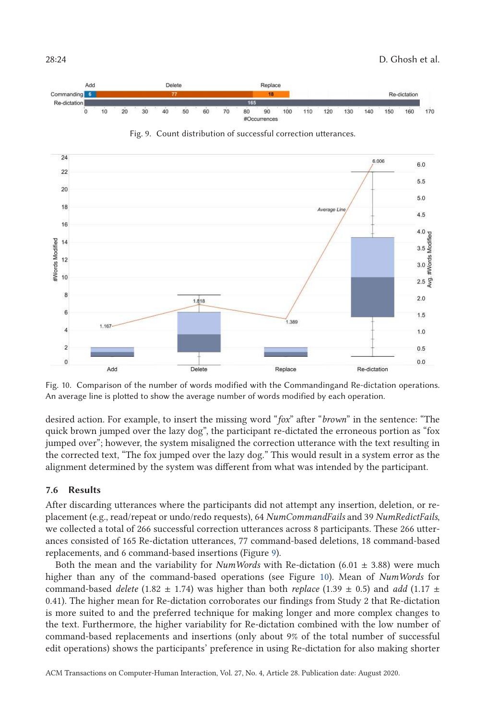

Fig. 10. Comparison of the number of words modified with the Commandingand Re-dictation operations. An average line is plotted to show the average number of words modified by each operation.

desired action. For example, to insert the missing word "*fox*" after "*brown*" in the sentence: "The quick brown jumped over the lazy dog", the participant re-dictated the erroneous portion as "fox jumped over"; however, the system misaligned the correction utterance with the text resulting in the corrected text, "The fox jumped over the lazy dog." This would result in a system error as the alignment determined by the system was different from what was intended by the participant.

# **7.6 Results**

After discarding utterances where the participants did not attempt any insertion, deletion, or replacement (e.g., read/repeat or undo/redo requests), 64 *NumCommandFails* and 39 *NumRedictFails*, we collected a total of 266 successful correction utterances across 8 participants. These 266 utterances consisted of 165 Re-dictation utterances, 77 command-based deletions, 18 command-based replacements, and 6 command-based insertions (Figure 9).

Both the mean and the variability for *NumWords* with Re-dictation (6.01  $\pm$  3.88) were much higher than any of the command-based operations (see Figure 10). Mean of *NumWords* for command-based *delete* (1.82  $\pm$  1.74) was higher than both *replace* (1.39  $\pm$  0.5) and *add* (1.17  $\pm$ 0.41). The higher mean for Re-dictation corroborates our findings from Study 2 that Re-dictation is more suited to and the preferred technique for making longer and more complex changes to the text. Furthermore, the higher variability for Re-dictation combined with the low number of command-based replacements and insertions (only about 9% of the total number of successful edit operations) shows the participants' preference in using Re-dictation for also making shorter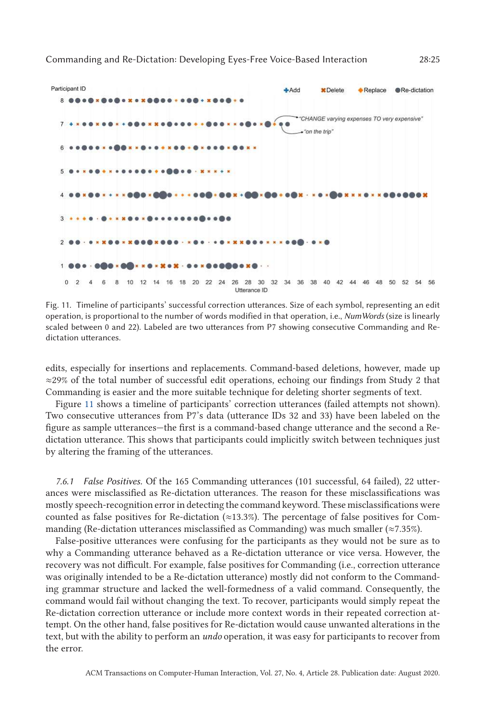



Fig. 11. Timeline of participants' successful correction utterances. Size of each symbol, representing an edit operation, is proportional to the number of words modified in that operation, i.e., *NumWords* (size is linearly scaled between 0 and 22). Labeled are two utterances from P7 showing consecutive Commanding and Redictation utterances.

edits, especially for insertions and replacements. Command-based deletions, however, made up ≈29% of the total number of successful edit operations, echoing our findings from Study 2 that Commanding is easier and the more suitable technique for deleting shorter segments of text.

Figure 11 shows a timeline of participants' correction utterances (failed attempts not shown). Two consecutive utterances from P7's data (utterance IDs 32 and 33) have been labeled on the figure as sample utterances—the first is a command-based change utterance and the second a Redictation utterance. This shows that participants could implicitly switch between techniques just by altering the framing of the utterances.

*7.6.1 False Positives.* Of the 165 Commanding utterances (101 successful, 64 failed), 22 utterances were misclassified as Re-dictation utterances. The reason for these misclassifications was mostly speech-recognition error in detecting the command keyword. These misclassifications were counted as false positives for Re-dictation  $(\approx 13.3\%)$ . The percentage of false positives for Commanding (Re-dictation utterances misclassified as Commanding) was much smaller ( $\approx$ 7.35%).

False-positive utterances were confusing for the participants as they would not be sure as to why a Commanding utterance behaved as a Re-dictation utterance or vice versa. However, the recovery was not difficult. For example, false positives for Commanding (i.e., correction utterance was originally intended to be a Re-dictation utterance) mostly did not conform to the Commanding grammar structure and lacked the well-formedness of a valid command. Consequently, the command would fail without changing the text. To recover, participants would simply repeat the Re-dictation correction utterance or include more context words in their repeated correction attempt. On the other hand, false positives for Re-dictation would cause unwanted alterations in the text, but with the ability to perform an *undo* operation, it was easy for participants to recover from the error.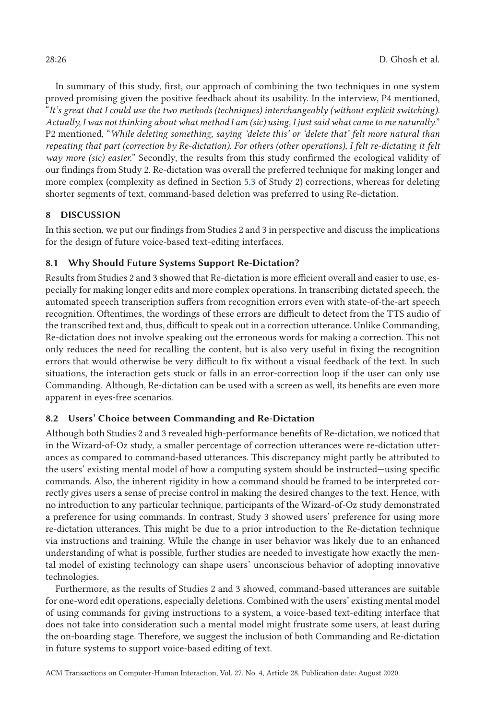<span id="page-25-0"></span>In summary of this study, first, our approach of combining the two techniques in one system proved promising given the positive feedback about its usability. In the interview, P4 mentioned, "*It's great that I could use the two methods (techniques) interchangeably (without explicit switching). Actually, I was not thinking about what method I am (sic) using, I just said what came to me naturally.*" P2 mentioned, "*While deleting something, saying 'delete this' or 'delete that' felt more natural than repeating that part (correction by Re-dictation). For others (other operations), I felt re-dictating it felt way more (sic) easier.*" Secondly, the results from this study confirmed the ecological validity of our findings from Study 2. Re-dictation was overall the preferred technique for making longer and more complex (complexity as defined in Section [5.3](#page-14-0) of Study 2) corrections, whereas for deleting shorter segments of text, command-based deletion was preferred to using Re-dictation.

# **8 DISCUSSION**

In this section, we put our findings from Studies 2 and 3 in perspective and discuss the implications for the design of future voice-based text-editing interfaces.

# **8.1 Why Should Future Systems Support Re-Dictation?**

Results from Studies 2 and 3 showed that Re-dictation is more efficient overall and easier to use, especially for making longer edits and more complex operations. In transcribing dictated speech, the automated speech transcription suffers from recognition errors even with state-of-the-art speech recognition. Oftentimes, the wordings of these errors are difficult to detect from the TTS audio of the transcribed text and, thus, difficult to speak out in a correction utterance. Unlike Commanding, Re-dictation does not involve speaking out the erroneous words for making a correction. This not only reduces the need for recalling the content, but is also very useful in fixing the recognition errors that would otherwise be very difficult to fix without a visual feedback of the text. In such situations, the interaction gets stuck or falls in an error-correction loop if the user can only use Commanding. Although, Re-dictation can be used with a screen as well, its benefits are even more apparent in eyes-free scenarios.

# **8.2 Users' Choice between Commanding and Re-Dictation**

Although both Studies 2 and 3 revealed high-performance benefits of Re-dictation, we noticed that in the Wizard-of-Oz study, a smaller percentage of correction utterances were re-dictation utterances as compared to command-based utterances. This discrepancy might partly be attributed to the users' existing mental model of how a computing system should be instructed—using specific commands. Also, the inherent rigidity in how a command should be framed to be interpreted correctly gives users a sense of precise control in making the desired changes to the text. Hence, with no introduction to any particular technique, participants of the Wizard-of-Oz study demonstrated a preference for using commands. In contrast, Study 3 showed users' preference for using more re-dictation utterances. This might be due to a prior introduction to the Re-dictation technique via instructions and training. While the change in user behavior was likely due to an enhanced understanding of what is possible, further studies are needed to investigate how exactly the mental model of existing technology can shape users' unconscious behavior of adopting innovative technologies.

Furthermore, as the results of Studies 2 and 3 showed, command-based utterances are suitable for one-word edit operations, especially deletions. Combined with the users' existing mental model of using commands for giving instructions to a system, a voice-based text-editing interface that does not take into consideration such a mental model might frustrate some users, at least during the on-boarding stage. Therefore, we suggest the inclusion of both Commanding and Re-dictation in future systems to support voice-based editing of text.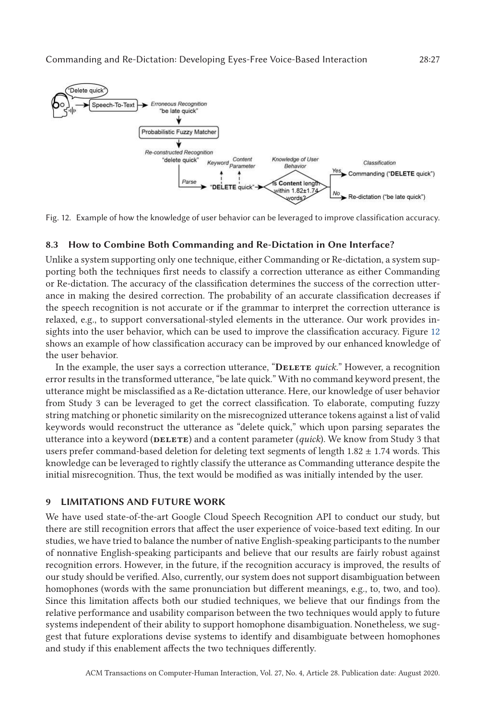

Fig. 12. Example of how the knowledge of user behavior can be leveraged to improve classification accuracy.

# **8.3 How to Combine Both Commanding and Re-Dictation in One Interface?**

Unlike a system supporting only one technique, either Commanding or Re-dictation, a system supporting both the techniques first needs to classify a correction utterance as either Commanding or Re-dictation. The accuracy of the classification determines the success of the correction utterance in making the desired correction. The probability of an accurate classification decreases if the speech recognition is not accurate or if the grammar to interpret the correction utterance is relaxed, e.g., to support conversational-styled elements in the utterance. Our work provides insights into the user behavior, which can be used to improve the classification accuracy. Figure 12 shows an example of how classification accuracy can be improved by our enhanced knowledge of the user behavior.

In the example, the user says a correction utterance, "**Delete** *quick*." However, a recognition error results in the transformed utterance, "be late quick." With no command keyword present, the utterance might be misclassified as a Re-dictation utterance. Here, our knowledge of user behavior from Study 3 can be leveraged to get the correct classification. To elaborate, computing fuzzy string matching or phonetic similarity on the misrecognized utterance tokens against a list of valid keywords would reconstruct the utterance as "delete quick," which upon parsing separates the utterance into a keyword (DELETE) and a content parameter (*quick*). We know from Study 3 that users prefer command-based deletion for deleting text segments of length  $1.82 \pm 1.74$  words. This knowledge can be leveraged to rightly classify the utterance as Commanding utterance despite the initial misrecognition. Thus, the text would be modified as was initially intended by the user.

# **9 LIMITATIONS AND FUTURE WORK**

We have used state-of-the-art Google Cloud Speech Recognition API to conduct our study, but there are still recognition errors that affect the user experience of voice-based text editing. In our studies, we have tried to balance the number of native English-speaking participants to the number of nonnative English-speaking participants and believe that our results are fairly robust against recognition errors. However, in the future, if the recognition accuracy is improved, the results of our study should be verified. Also, currently, our system does not support disambiguation between homophones (words with the same pronunciation but different meanings, e.g., to, two, and too). Since this limitation affects both our studied techniques, we believe that our findings from the relative performance and usability comparison between the two techniques would apply to future systems independent of their ability to support homophone disambiguation. Nonetheless, we suggest that future explorations devise systems to identify and disambiguate between homophones and study if this enablement affects the two techniques differently.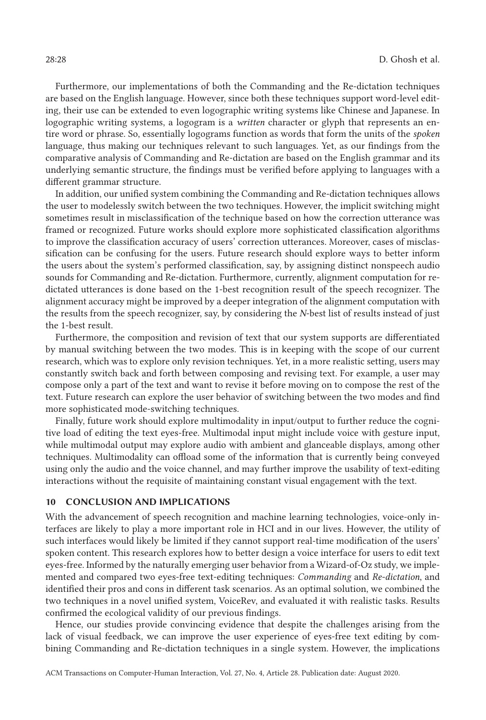Furthermore, our implementations of both the Commanding and the Re-dictation techniques are based on the English language. However, since both these techniques support word-level editing, their use can be extended to even logographic writing systems like Chinese and Japanese. In logographic writing systems, a logogram is a *written* character or glyph that represents an entire word or phrase. So, essentially logograms function as words that form the units of the *spoken* language, thus making our techniques relevant to such languages. Yet, as our findings from the comparative analysis of Commanding and Re-dictation are based on the English grammar and its underlying semantic structure, the findings must be verified before applying to languages with a different grammar structure.

In addition, our unified system combining the Commanding and Re-dictation techniques allows the user to modelessly switch between the two techniques. However, the implicit switching might sometimes result in misclassification of the technique based on how the correction utterance was framed or recognized. Future works should explore more sophisticated classification algorithms to improve the classification accuracy of users' correction utterances. Moreover, cases of misclassification can be confusing for the users. Future research should explore ways to better inform the users about the system's performed classification, say, by assigning distinct nonspeech audio sounds for Commanding and Re-dictation. Furthermore, currently, alignment computation for redictated utterances is done based on the 1-best recognition result of the speech recognizer. The alignment accuracy might be improved by a deeper integration of the alignment computation with the results from the speech recognizer, say, by considering the *N*-best list of results instead of just the 1-best result.

Furthermore, the composition and revision of text that our system supports are differentiated by manual switching between the two modes. This is in keeping with the scope of our current research, which was to explore only revision techniques. Yet, in a more realistic setting, users may constantly switch back and forth between composing and revising text. For example, a user may compose only a part of the text and want to revise it before moving on to compose the rest of the text. Future research can explore the user behavior of switching between the two modes and find more sophisticated mode-switching techniques.

Finally, future work should explore multimodality in input/output to further reduce the cognitive load of editing the text eyes-free. Multimodal input might include voice with gesture input, while multimodal output may explore audio with ambient and glanceable displays, among other techniques. Multimodality can offload some of the information that is currently being conveyed using only the audio and the voice channel, and may further improve the usability of text-editing interactions without the requisite of maintaining constant visual engagement with the text.

#### **10 CONCLUSION AND IMPLICATIONS**

With the advancement of speech recognition and machine learning technologies, voice-only interfaces are likely to play a more important role in HCI and in our lives. However, the utility of such interfaces would likely be limited if they cannot support real-time modification of the users' spoken content. This research explores how to better design a voice interface for users to edit text eyes-free. Informed by the naturally emerging user behavior from a Wizard-of-Oz study, we implemented and compared two eyes-free text-editing techniques: *Commanding* and *Re-dictation*, and identified their pros and cons in different task scenarios. As an optimal solution, we combined the two techniques in a novel unified system, VoiceRev, and evaluated it with realistic tasks. Results confirmed the ecological validity of our previous findings.

Hence, our studies provide convincing evidence that despite the challenges arising from the lack of visual feedback, we can improve the user experience of eyes-free text editing by combining Commanding and Re-dictation techniques in a single system. However, the implications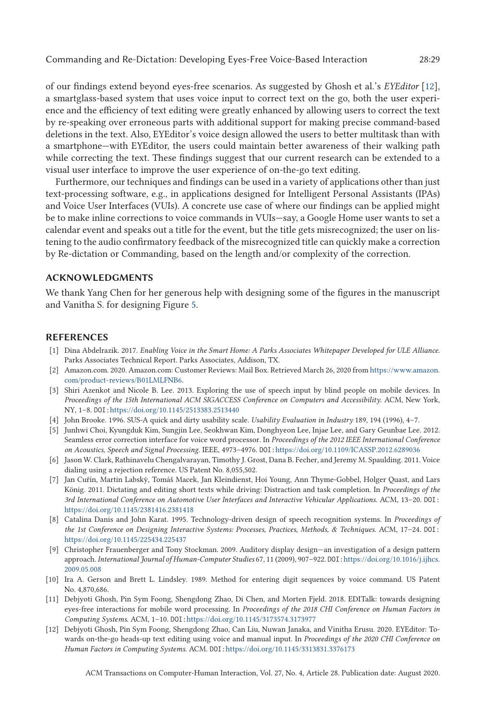<span id="page-28-0"></span>of our findings extend beyond eyes-free scenarios. As suggested by Ghosh et al.'s *EYEditor* [12], a smartglass-based system that uses voice input to correct text on the go, both the user experience and the efficiency of text editing were greatly enhanced by allowing users to correct the text by re-speaking over erroneous parts with additional support for making precise command-based deletions in the text. Also, EYEditor's voice design allowed the users to better multitask than with a smartphone—with EYEditor, the users could maintain better awareness of their walking path while correcting the text. These findings suggest that our current research can be extended to a visual user interface to improve the user experience of on-the-go text editing.

Furthermore, our techniques and findings can be used in a variety of applications other than just text-processing software, e.g., in applications designed for Intelligent Personal Assistants (IPAs) and Voice User Interfaces (VUIs). A concrete use case of where our findings can be applied might be to make inline corrections to voice commands in VUIs—say, a Google Home user wants to set a calendar event and speaks out a title for the event, but the title gets misrecognized; the user on listening to the audio confirmatory feedback of the misrecognized title can quickly make a correction by Re-dictation or Commanding, based on the length and/or complexity of the correction.

# **ACKNOWLEDGMENTS**

We thank Yang Chen for her generous help with designing some of the figures in the manuscript and Vanitha S. for designing Figure [5.](#page-14-0)

#### **REFERENCES**

- [1] Dina Abdelrazik. 2017. *Enabling Voice in the Smart Home: A Parks Associates Whitepaper Developed for ULE Alliance*. Parks Associates Technical Report. Parks Associates, Addison, TX.
- [2] Amazon.com. 2020. Amazon.com: Customer Reviews: Mail Box. Retrieved March 26, 2020 from [https://www.amazon.](https://www.amazon.com/product-reviews/B01LMLFNB6) [com/product-reviews/B01LMLFNB6.](https://www.amazon.com/product-reviews/B01LMLFNB6)
- [3] Shiri Azenkot and Nicole B. Lee. 2013. Exploring the use of speech input by blind people on mobile devices. In *Proceedings of the 15th International ACM SIGACCESS Conference on Computers and Accessibility*. ACM, New York, NY, 1–8. DOI:<https://doi.org/10.1145/2513383.2513440>
- [4] John Brooke. 1996. SUS-A quick and dirty usability scale. *Usability Evaluation in Industry* 189, 194 (1996), 4–7.
- [5] Junhwi Choi, Kyungduk Kim, Sungjin Lee, Seokhwan Kim, Donghyeon Lee, Injae Lee, and Gary Geunbae Lee. 2012. Seamless error correction interface for voice word processor. In *Proceedings of the 2012 IEEE International Conference on Acoustics, Speech and Signal Processing*. IEEE, 4973–4976. DOI:<https://doi.org/10.1109/ICASSP.2012.6289036>
- [6] Jason W. Clark, Rathinavelu Chengalvarayan, Timothy J. Grost, Dana B. Fecher, and Jeremy M. Spaulding. 2011. Voice dialing using a rejection reference. US Patent No. 8,055,502.
- [7] Jan Cuřín, Martin Labsky, Tomáš Macek, Jan Kleindienst, Hoi Young, Ann Thyme-Gobbel, Holger Quast, and Lars ` König. 2011. Dictating and editing short texts while driving: Distraction and task completion. In *Proceedings of the 3rd International Conference on Automotive User Interfaces and Interactive Vehicular Applications*. ACM, 13–20. DOI: <https://doi.org/10.1145/2381416.2381418>
- [8] Catalina Danis and John Karat. 1995. Technology-driven design of speech recognition systems. In *Proceedings of the 1st Conference on Designing Interactive Systems: Processes, Practices, Methods, & Techniques*. ACM, 17–24. DOI: <https://doi.org/10.1145/225434.225437>
- [9] Christopher Frauenberger and Tony Stockman. 2009. Auditory display design—an investigation of a design pattern approach. *International Journal of Human-Computer Studies* 67, 11 (2009), 907–922. DOI:[https://doi.org/10.1016/j.ijhcs.](https://doi.org/10.1016/j.ijhcs.2009.05.008) [2009.05.008](https://doi.org/10.1016/j.ijhcs.2009.05.008)
- [10] Ira A. Gerson and Brett L. Lindsley. 1989. Method for entering digit sequences by voice command. US Patent No. 4,870,686.
- [11] Debjyoti Ghosh, Pin Sym Foong, Shengdong Zhao, Di Chen, and Morten Fjeld. 2018. EDITalk: towards designing eyes-free interactions for mobile word processing. In *Proceedings of the 2018 CHI Conference on Human Factors in Computing Systems*. ACM, 1–10. DOI:<https://doi.org/10.1145/3173574.3173977>
- [12] Debjyoti Ghosh, Pin Sym Foong, Shengdong Zhao, Can Liu, Nuwan Janaka, and Vinitha Erusu. 2020. EYEditor: Towards on-the-go heads-up text editing using voice and manual input. In *Proceedings of the 2020 CHI Conference on Human Factors in Computing Systems*. ACM. DOI:<https://doi.org/10.1145/3313831.3376173>

ACM Transactions on Computer-Human Interaction, Vol. 27, No. 4, Article 28. Publication date: August 2020.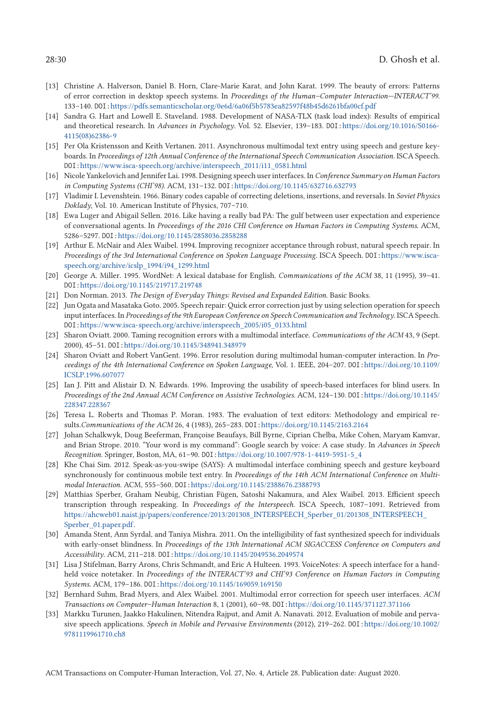- <span id="page-29-0"></span>[13] Christine A. Halverson, Daniel B. Horn, Clare-Marie Karat, and John Karat. 1999. The beauty of errors: Patterns of error correction in desktop speech systems. In *Proceedings of the Human–Computer Interaction—INTERACT'99*. 133–140. DOI:<https://pdfs.semanticscholar.org/0e6d/6a06f5b5783ea82597f48b45d6261bfa00cf.pdf>
- [14] Sandra G. Hart and Lowell E. Staveland. 1988. Development of NASA-TLX (task load index): Results of empirical and theoretical research. In *Advances in Psychology*. Vol. 52. Elsevier, 139–183. DOI:[https://doi.org/10.1016/S0166-](https://doi.org/10.1016/S0166-4115(08)62386-9) [4115\(08\)62386-9](https://doi.org/10.1016/S0166-4115(08)62386-9)
- [15] Per Ola Kristensson and Keith Vertanen. 2011. Asynchronous multimodal text entry using speech and gesture keyboards. In *Proceedings of 12th Annual Conference of the International Speech Communication Association*. ISCA Speech. DOI:[https://www.isca-speech.org/archive/interspeech\\_2011/i11\\_0581.html](https://www.isca-speech.org/archive/interspeech_2011/i11_0581.html)
- [16] Nicole Yankelovich and Jennifer Lai. 1998. Designing speech user interfaces. In *Conference Summary on Human Factors in Computing Systems (CHI'98)*. ACM, 131–132. DOI:<https://doi.org/10.1145/632716.632793>
- [17] Vladimir I. Levenshtein. 1966. Binary codes capable of correcting deletions, insertions, and reversals. In *Soviet Physics Doklady*, Vol. 10. American Institute of Physics, 707–710.
- [18] Ewa Luger and Abigail Sellen. 2016. Like having a really bad PA: The gulf between user expectation and experience of conversational agents. In *Proceedings of the 2016 CHI Conference on Human Factors in Computing Systems*. ACM, 5286–5297. DOI:<https://doi.org/10.1145/2858036.2858288>
- [19] Arthur E. McNair and Alex Waibel. 1994. Improving recognizer acceptance through robust, natural speech repair. In *Proceedings of the 3rd International Conference on Spoken Language Processing*. ISCA Speech. DOI:[https://www.isca](https://www.isca-speech.org/archive/icslp_1994/i94_1299.html)[speech.org/archive/icslp\\_1994/i94\\_1299.html](https://www.isca-speech.org/archive/icslp_1994/i94_1299.html)
- [20] George A. Miller. 1995. WordNet: A lexical database for English. *Communications of the ACM* 38, 11 (1995), 39–41. DOI:<https://doi.org/10.1145/219717.219748>
- [21] Don Norman. 2013. *The Design of Everyday Things: Revised and Expanded Edition*. Basic Books.
- [22] Jun Ogata and Masataka Goto. 2005. Speech repair: Quick error correction just by using selection operation for speech input interfaces. In *Proceedings of the 9th European Conference on Speech Communication and Technology*. ISCA Speech. DOI:[https://www.isca-speech.org/archive/interspeech\\_2005/i05\\_0133.html](https://www.isca-speech.org/archive/interspeech_2005/i05_0133.html)
- [23] Sharon Oviatt. 2000. Taming recognition errors with a multimodal interface. *Communications of the ACM* 43, 9 (Sept. 2000), 45–51. DOI:<https://doi.org/10.1145/348941.348979>
- [24] Sharon Oviatt and Robert VanGent. 1996. Error resolution during multimodal human-computer interaction. In *Proceedings of the 4th International Conference on Spoken Language*, Vol. 1. IEEE, 204–207. DOI:[https://doi.org/10.1109/](https://doi.org/10.1109/ICSLP.1996.607077) [ICSLP.1996.607077](https://doi.org/10.1109/ICSLP.1996.607077)
- [25] Ian J. Pitt and Alistair D. N. Edwards. 1996. Improving the usability of speech-based interfaces for blind users. In *Proceedings of the 2nd Annual ACM Conference on Assistive Technologies*. ACM, 124–130. DOI:[https://doi.org/10.1145/](https://doi.org/10.1145/228347.228367) [228347.228367](https://doi.org/10.1145/228347.228367)
- [26] Teresa L. Roberts and Thomas P. Moran. 1983. The evaluation of text editors: Methodology and empirical results.*Communications of the ACM* 26, 4 (1983), 265–283. DOI:<https://doi.org/10.1145/2163.2164>
- [27] Johan Schalkwyk, Doug Beeferman, Françoise Beaufays, Bill Byrne, Ciprian Chelba, Mike Cohen, Maryam Kamvar, and Brian Strope. 2010. "Your word is my command": Google search by voice: A case study. In *Advances in Speech Recognition*. Springer, Boston, MA, 61–90. DOI:[https://doi.org/10.1007/978-1-4419-5951-5\\_4](https://doi.org/10.1007/978-1-4419-5951-5_4)
- [28] Khe Chai Sim. 2012. Speak-as-you-swipe (SAYS): A multimodal interface combining speech and gesture keyboard synchronously for continuous mobile text entry. In *Proceedings of the 14th ACM International Conference on Multimodal Interaction*. ACM, 555–560. DOI:<https://doi.org/10.1145/2388676.2388793>
- [29] Matthias Sperber, Graham Neubig, Christian Fügen, Satoshi Nakamura, and Alex Waibel. 2013. Efficient speech transcription through respeaking. In *Proceedings of the Interspeech*. ISCA Speech, 1087–1091. Retrieved from [https://ahcweb01.naist.jp/papers/conference/2013/201308\\_INTERSPEECH\\_Sperber\\_01/201308\\_INTERSPEECH\\_](https://ahcweb01.naist.jp/papers/conference/2013/201308_INTERSPEECH_Sperber_01/201308_INTERSPEECH_Sperber_01.paper.pdf) [Sperber\\_01.paper.pdf.](https://ahcweb01.naist.jp/papers/conference/2013/201308_INTERSPEECH_Sperber_01/201308_INTERSPEECH_Sperber_01.paper.pdf)
- [30] Amanda Stent, Ann Syrdal, and Taniya Mishra. 2011. On the intelligibility of fast synthesized speech for individuals with early-onset blindness. In *Proceedings of the 13th International ACM SIGACCESS Conference on Computers and Accessibility*. ACM, 211–218. DOI:<https://doi.org/10.1145/2049536.2049574>
- [31] Lisa J Stifelman, Barry Arons, Chris Schmandt, and Eric A Hulteen. 1993. VoiceNotes: A speech interface for a handheld voice notetaker. In *Proceedings of the INTERACT'93 and CHI'93 Conference on Human Factors in Computing Systems*. ACM, 179–186. DOI:<https://doi.org/10.1145/169059.169150>
- [32] Bernhard Suhm, Brad Myers, and Alex Waibel. 2001. Multimodal error correction for speech user interfaces. *ACM Transactions on Computer–Human Interaction* 8, 1 (2001), 60–98. DOI:<https://doi.org/10.1145/371127.371166>
- [33] Markku Turunen, Jaakko Hakulinen, Nitendra Rajput, and Amit A. Nanavati. 2012. Evaluation of mobile and pervasive speech applications. *Speech in Mobile and Pervasive Environments* (2012), 219–262. DOI:[https://doi.org/10.1002/](https://doi.org/10.1002/9781119961710.ch8) [9781119961710.ch8](https://doi.org/10.1002/9781119961710.ch8)